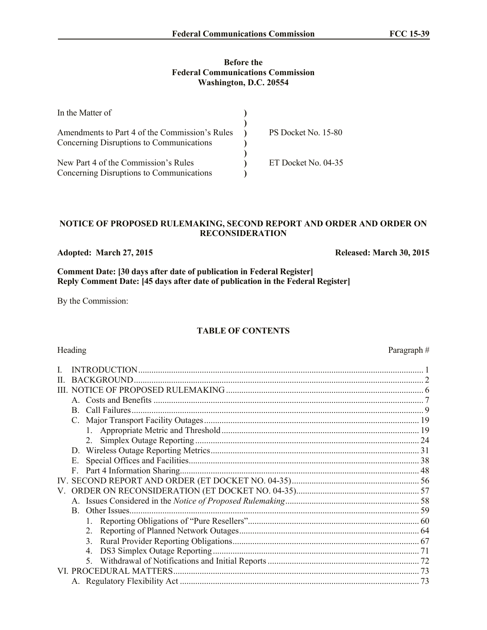## **Before the Federal Communications Commission Washington, D.C. 20554**

| In the Matter of                                                                           |                     |
|--------------------------------------------------------------------------------------------|---------------------|
| Amendments to Part 4 of the Commission's Rules<br>Concerning Disruptions to Communications | PS Docket No. 15-80 |
| New Part 4 of the Commission's Rules<br>Concerning Disruptions to Communications           | ET Docket No. 04-35 |

## **NOTICE OF PROPOSED RULEMAKING, SECOND REPORT AND ORDER AND ORDER ON RECONSIDERATION**

# **Adopted: March 27, 2015 Released: March 30, 2015**

**Comment Date: [30 days after date of publication in Federal Register] Reply Comment Date: [45 days after date of publication in the Federal Register]**

By the Commission:

# **TABLE OF CONTENTS**

# Heading Paragraph #

| H  | <b>BACKGROUND.</b> |  |
|----|--------------------|--|
|    |                    |  |
|    |                    |  |
|    | B.                 |  |
|    |                    |  |
|    |                    |  |
|    |                    |  |
|    |                    |  |
|    | Е.                 |  |
|    | $F_{\perp}$        |  |
|    |                    |  |
| V. |                    |  |
|    |                    |  |
|    |                    |  |
|    |                    |  |
|    |                    |  |
|    |                    |  |
|    |                    |  |
|    |                    |  |
|    |                    |  |
|    |                    |  |
|    |                    |  |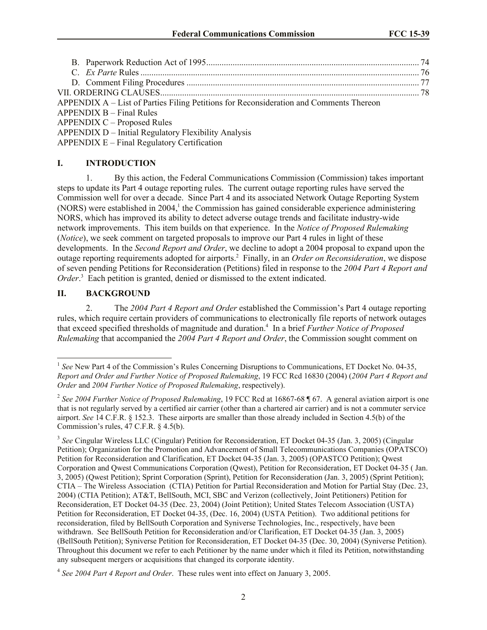| APPENDIX A – List of Parties Filing Petitions for Reconsideration and Comments Thereon |  |
|----------------------------------------------------------------------------------------|--|
| $APPENDIX B - Final Rules$                                                             |  |
| <b>APPENDIX C – Proposed Rules</b>                                                     |  |
| APPENDIX D - Initial Regulatory Flexibility Analysis                                   |  |
| APPENDIX E – Final Regulatory Certification                                            |  |

## **I. INTRODUCTION**

1. By this action, the Federal Communications Commission (Commission) takes important steps to update its Part 4 outage reporting rules. The current outage reporting rules have served the Commission well for over a decade. Since Part 4 and its associated Network Outage Reporting System (NORS) were established in 2004,<sup>1</sup> the Commission has gained considerable experience administering NORS, which has improved its ability to detect adverse outage trends and facilitate industry-wide network improvements. This item builds on that experience. In the *Notice of Proposed Rulemaking* (*Notice*), we seek comment on targeted proposals to improve our Part 4 rules in light of these developments. In the *Second Report and Order*, we decline to adopt a 2004 proposal to expand upon the outage reporting requirements adopted for airports. <sup>2</sup> Finally, in an *Order on Reconsideration*, we dispose of seven pending Petitions for Reconsideration (Petitions) filed in response to the *2004 Part 4 Report and*  Order.<sup>3</sup> Each petition is granted, denied or dismissed to the extent indicated.

## **II. BACKGROUND**

l

2. The *2004 Part 4 Report and Order* established the Commission's Part 4 outage reporting rules, which require certain providers of communications to electronically file reports of network outages that exceed specified thresholds of magnitude and duration.<sup>4</sup> In a brief *Further Notice of Proposed Rulemaking* that accompanied the *2004 Part 4 Report and Order*, the Commission sought comment on

<sup>&</sup>lt;sup>1</sup> See New Part 4 of the Commission's Rules Concerning Disruptions to Communications, ET Docket No. 04-35, *Report and Order and Further Notice of Proposed Rulemaking*, 19 FCC Rcd 16830 (2004) (*2004 Part 4 Report and Order* and *2004 Further Notice of Proposed Rulemaking*, respectively).

<sup>2</sup> *See 2004 Further Notice of Proposed Rulemaking*, 19 FCC Rcd at 16867-68 ¶ 67. A general aviation airport is one that is not regularly served by a certified air carrier (other than a chartered air carrier) and is not a commuter service airport. *See* 14 C.F.R. § 152.3. These airports are smaller than those already included in Section 4.5(b) of the Commission's rules, 47 C.F.R. § 4.5(b).

<sup>&</sup>lt;sup>3</sup> See Cingular Wireless LLC (Cingular) Petition for Reconsideration, ET Docket 04-35 (Jan. 3, 2005) (Cingular Petition); Organization for the Promotion and Advancement of Small Telecommunications Companies (OPATSCO) Petition for Reconsideration and Clarification, ET Docket 04-35 (Jan. 3, 2005) (OPASTCO Petition); Qwest Corporation and Qwest Communications Corporation (Qwest), Petition for Reconsideration, ET Docket 04-35 ( Jan. 3, 2005) (Qwest Petition); Sprint Corporation (Sprint), Petition for Reconsideration (Jan. 3, 2005) (Sprint Petition); CTIA – The Wireless Association (CTIA) Petition for Partial Reconsideration and Motion for Partial Stay (Dec. 23, 2004) (CTIA Petition); AT&T, BellSouth, MCI, SBC and Verizon (collectively, Joint Petitioners) Petition for Reconsideration, ET Docket 04-35 (Dec. 23, 2004) (Joint Petition); United States Telecom Association (USTA) Petition for Reconsideration, ET Docket 04-35, (Dec. 16, 2004) (USTA Petition). Two additional petitions for reconsideration, filed by BellSouth Corporation and Syniverse Technologies, Inc., respectively, have been withdrawn. See BellSouth Petition for Reconsideration and/or Clarification, ET Docket 04-35 (Jan. 3, 2005) (BellSouth Petition); Syniverse Petition for Reconsideration, ET Docket 04-35 (Dec. 30, 2004) (Syniverse Petition). Throughout this document we refer to each Petitioner by the name under which it filed its Petition, notwithstanding any subsequent mergers or acquisitions that changed its corporate identity.

<sup>4</sup> *See 2004 Part 4 Report and Order*. These rules went into effect on January 3, 2005.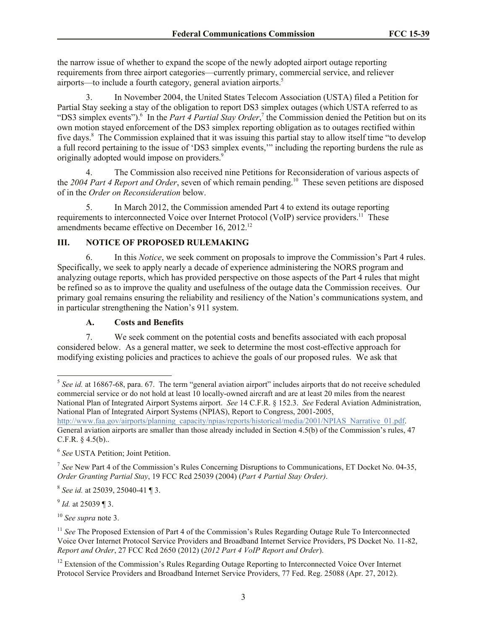the narrow issue of whether to expand the scope of the newly adopted airport outage reporting requirements from three airport categories—currently primary, commercial service, and reliever airports—to include a fourth category, general aviation airports.<sup>5</sup>

3. In November 2004, the United States Telecom Association (USTA) filed a Petition for Partial Stay seeking a stay of the obligation to report DS3 simplex outages (which USTA referred to as "DS3 simplex events").<sup>6</sup> In the *Part 4 Partial Stay Order*,<sup>7</sup> the Commission denied the Petition but on its own motion stayed enforcement of the DS3 simplex reporting obligation as to outages rectified within five days.<sup>8</sup> The Commission explained that it was issuing this partial stay to allow itself time "to develop a full record pertaining to the issue of 'DS3 simplex events,'" including the reporting burdens the rule as originally adopted would impose on providers.<sup>9</sup>

4. The Commission also received nine Petitions for Reconsideration of various aspects of the 2004 Part 4 Report and Order, seven of which remain pending.<sup>10</sup> These seven petitions are disposed of in the *Order on Reconsideration* below.

5. In March 2012, the Commission amended Part 4 to extend its outage reporting requirements to interconnected Voice over Internet Protocol (VoIP) service providers.<sup>11</sup> These amendments became effective on December 16, 2012.<sup>12</sup>

# **III. NOTICE OF PROPOSED RULEMAKING**

6. In this *Notice*, we seek comment on proposals to improve the Commission's Part 4 rules. Specifically, we seek to apply nearly a decade of experience administering the NORS program and analyzing outage reports, which has provided perspective on those aspects of the Part 4 rules that might be refined so as to improve the quality and usefulness of the outage data the Commission receives. Our primary goal remains ensuring the reliability and resiliency of the Nation's communications system, and in particular strengthening the Nation's 911 system.

# **A. Costs and Benefits**

7. We seek comment on the potential costs and benefits associated with each proposal considered below. As a general matter, we seek to determine the most cost-effective approach for modifying existing policies and practices to achieve the goals of our proposed rules. We ask that

General aviation airports are smaller than those already included in Section 4.5(b) of the Commission's rules, 47 C.F.R. § 4.5(b)..

8 *See id.* at 25039, 25040-41 ¶ 3.

9 *Id.* at 25039 ¶ 3.

<sup>10</sup> *See supra* note 3.

l <sup>5</sup> See id. at 16867-68, para. 67. The term "general aviation airport" includes airports that do not receive scheduled commercial service or do not hold at least 10 locally-owned aircraft and are at least 20 miles from the nearest National Plan of Integrated Airport Systems airport. *See* 14 C.F.R. § 152.3. *See* Federal Aviation Administration, National Plan of Integrated Airport Systems (NPIAS), Report to Congress, 2001-2005, http://www.faa.gov/airports/planning\_capacity/npias/reports/historical/media/2001/NPIAS\_Narrative\_01.pdf.

<sup>6</sup> *See* USTA Petition; Joint Petition.

<sup>&</sup>lt;sup>7</sup> See New Part 4 of the Commission's Rules Concerning Disruptions to Communications, ET Docket No. 04-35, *Order Granting Partial Stay*, 19 FCC Rcd 25039 (2004) (*Part 4 Partial Stay Order)*.

<sup>&</sup>lt;sup>11</sup> See The Proposed Extension of Part 4 of the Commission's Rules Regarding Outage Rule To Interconnected Voice Over Internet Protocol Service Providers and Broadband Internet Service Providers, PS Docket No. 11-82, *Report and Order*, 27 FCC Rcd 2650 (2012) (*2012 Part 4 VoIP Report and Order*).

<sup>&</sup>lt;sup>12</sup> Extension of the Commission's Rules Regarding Outage Reporting to Interconnected Voice Over Internet Protocol Service Providers and Broadband Internet Service Providers, 77 Fed. Reg. 25088 (Apr. 27, 2012).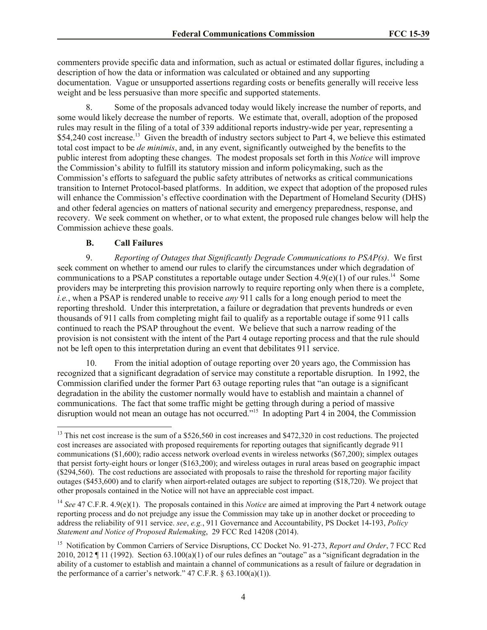commenters provide specific data and information, such as actual or estimated dollar figures, including a description of how the data or information was calculated or obtained and any supporting documentation. Vague or unsupported assertions regarding costs or benefits generally will receive less weight and be less persuasive than more specific and supported statements.

8. Some of the proposals advanced today would likely increase the number of reports, and some would likely decrease the number of reports. We estimate that, overall, adoption of the proposed rules may result in the filing of a total of 339 additional reports industry-wide per year, representing a \$54,240 cost increase.<sup>13</sup> Given the breadth of industry sectors subject to Part 4, we believe this estimated total cost impact to be *de minimis*, and, in any event, significantly outweighed by the benefits to the public interest from adopting these changes. The modest proposals set forth in this *Notice* will improve the Commission's ability to fulfill its statutory mission and inform policymaking, such as the Commission's efforts to safeguard the public safety attributes of networks as critical communications transition to Internet Protocol-based platforms. In addition, we expect that adoption of the proposed rules will enhance the Commission's effective coordination with the Department of Homeland Security (DHS) and other federal agencies on matters of national security and emergency preparedness, response, and recovery. We seek comment on whether, or to what extent, the proposed rule changes below will help the Commission achieve these goals.

## **B. Call Failures**

l

9. *Reporting of Outages that Significantly Degrade Communications to PSAP(s)*. We first seek comment on whether to amend our rules to clarify the circumstances under which degradation of communications to a PSAP constitutes a reportable outage under Section  $4.9(e)(1)$  of our rules.<sup>14</sup> Some providers may be interpreting this provision narrowly to require reporting only when there is a complete, *i.e.*, when a PSAP is rendered unable to receive *any* 911 calls for a long enough period to meet the reporting threshold. Under this interpretation, a failure or degradation that prevents hundreds or even thousands of 911 calls from completing might fail to qualify as a reportable outage if some 911 calls continued to reach the PSAP throughout the event. We believe that such a narrow reading of the provision is not consistent with the intent of the Part 4 outage reporting process and that the rule should not be left open to this interpretation during an event that debilitates 911 service.

10. From the initial adoption of outage reporting over 20 years ago, the Commission has recognized that a significant degradation of service may constitute a reportable disruption. In 1992, the Commission clarified under the former Part 63 outage reporting rules that "an outage is a significant degradation in the ability the customer normally would have to establish and maintain a channel of communications. The fact that some traffic might be getting through during a period of massive disruption would not mean an outage has not occurred."<sup>15</sup> In adopting Part 4 in 2004, the Commission

<sup>&</sup>lt;sup>13</sup> This net cost increase is the sum of a \$526,560 in cost increases and \$472,320 in cost reductions. The projected cost increases are associated with proposed requirements for reporting outages that significantly degrade 911 communications (\$1,600); radio access network overload events in wireless networks (\$67,200); simplex outages that persist forty-eight hours or longer (\$163,200); and wireless outages in rural areas based on geographic impact (\$294,560). The cost reductions are associated with proposals to raise the threshold for reporting major facility outages (\$453,600) and to clarify when airport-related outages are subject to reporting (\$18,720). We project that other proposals contained in the Notice will not have an appreciable cost impact.

<sup>14</sup> *See* 47 C.F.R. 4.9(e)(1). The proposals contained in this *Notice* are aimed at improving the Part 4 network outage reporting process and do not prejudge any issue the Commission may take up in another docket or proceeding to address the reliability of 911 service. *see*, *e.g.*, 911 Governance and Accountability, PS Docket 14-193, *Policy Statement and Notice of Proposed Rulemaking*, 29 FCC Rcd 14208 (2014).

<sup>&</sup>lt;sup>15</sup> Notification by Common Carriers of Service Disruptions, CC Docket No. 91-273, *Report and Order*, 7 FCC Rcd 2010, 2012 ¶ 11 (1992). Section 63.100(a)(1) of our rules defines an "outage" as a "significant degradation in the ability of a customer to establish and maintain a channel of communications as a result of failure or degradation in the performance of a carrier's network."  $47$  C.F.R.  $\S$  63.100(a)(1)).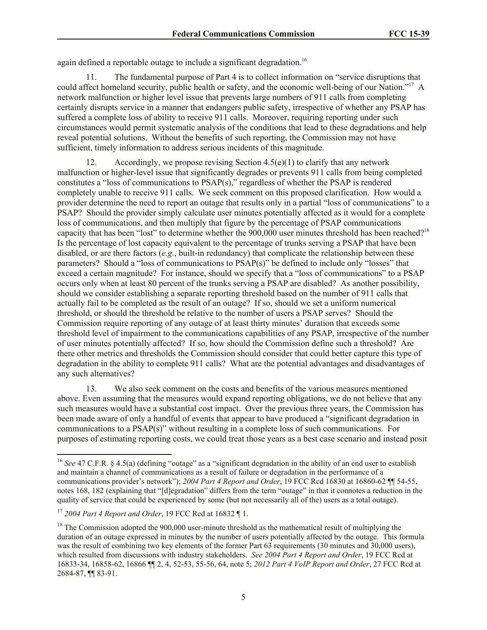again defined a reportable outage to include a significant degradation.<sup>16</sup>

11. The fundamental purpose of Part 4 is to collect information on "service disruptions that could affect homeland security, public health or safety, and the economic well-being of our Nation."<sup>17</sup> A network malfunction or higher level issue that prevents large numbers of 911 calls from completing certainly disrupts service in a manner that endangers public safety, irrespective of whether any PSAP has suffered a complete loss of ability to receive 911 calls. Moreover, requiring reporting under such circumstances would permit systematic analysis of the conditions that lead to these degradations and help reveal potential solutions. Without the benefits of such reporting, the Commission may not have sufficient, timely information to address serious incidents of this magnitude.

12. Accordingly, we propose revising Section  $4.5(e)(1)$  to clarify that any network malfunction or higher-level issue that significantly degrades or prevents 911 calls from being completed constitutes a "loss of communications to PSAP(s)," regardless of whether the PSAP is rendered completely unable to receive 911 calls. We seek comment on this proposed clarification. How would a provider determine the need to report an outage that results only in a partial "loss of communications" to a PSAP? Should the provider simply calculate user minutes potentially affected as it would for a complete loss of communications, and then multiply that figure by the percentage of PSAP communications capacity that has been "lost" to determine whether the 900,000 user minutes threshold has been reached?<sup>18</sup> Is the percentage of lost capacity equivalent to the percentage of trunks serving a PSAP that have been disabled, or are there factors (*e.g.*, built-in redundancy) that complicate the relationship between these parameters? Should a "loss of communications to PSAP(s)" be defined to include only "losses" that exceed a certain magnitude? For instance, should we specify that a "loss of communications" to a PSAP occurs only when at least 80 percent of the trunks serving a PSAP are disabled? As another possibility, should we consider establishing a separate reporting threshold based on the number of 911 calls that actually fail to be completed as the result of an outage? If so, should we set a uniform numerical threshold, or should the threshold be relative to the number of users a PSAP serves? Should the Commission require reporting of any outage of at least thirty minutes' duration that exceeds some threshold level of impairment to the communications capabilities of any PSAP, irrespective of the number of user minutes potentially affected? If so, how should the Commission define such a threshold? Are there other metrics and thresholds the Commission should consider that could better capture this type of degradation in the ability to complete 911 calls? What are the potential advantages and disadvantages of any such alternatives?

13. We also seek comment on the costs and benefits of the various measures mentioned above. Even assuming that the measures would expand reporting obligations, we do not believe that any such measures would have a substantial cost impact. Over the previous three years, the Commission has been made aware of only a handful of events that appear to have produced a "significant degradation in communications to a PSAP(s)" without resulting in a complete loss of such communications. For purposes of estimating reporting costs, we could treat those years as a best case scenario and instead posit

l

<sup>&</sup>lt;sup>16</sup> See 47 C.F.R. § 4.5(a) (defining "outage" as a "significant degradation in the ability of an end user to establish and maintain a channel of communications as a result of failure or degradation in the performance of a communications provider's network"); *2004 Part 4 Report and Order*, 19 FCC Rcd 16830 at 16860-62 ¶¶ 54-55, notes 168, 182 (explaining that "[d]egradation" differs from the term "outage" in that it connotes a reduction in the quality of service that could be experienced by some (but not necessarily all of the) users as a total outage).

<sup>17</sup> *2004 Part 4 Report and Order*, 19 FCC Rcd at 16832 ¶ 1.

<sup>&</sup>lt;sup>18</sup> The Commission adopted the 900,000 user-minute threshold as the mathematical result of multiplying the duration of an outage expressed in minutes by the number of users potentially affected by the outage. This formula was the result of combining two key elements of the former Part 63 requirements (30 minutes and 30,000 users), which resulted from discussions with industry stakeholders. *See 2004 Part 4 Report and Order*, 19 FCC Rcd at 16833-34, 16858-62, 16866 ¶¶ 2, 4, 52-53, 55-56, 64, note 5; *2012 Part 4 VoIP Report and Order*, 27 FCC Rcd at 2684-87, ¶¶ 83-91.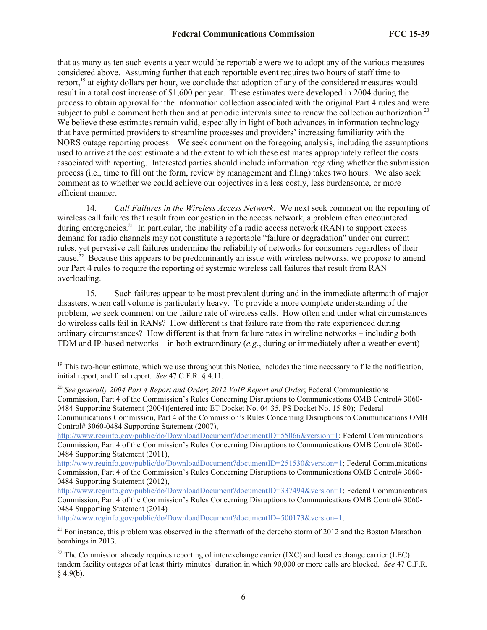that as many as ten such events a year would be reportable were we to adopt any of the various measures considered above. Assuming further that each reportable event requires two hours of staff time to report,<sup>19</sup> at eighty dollars per hour, we conclude that adoption of any of the considered measures would result in a total cost increase of \$1,600 per year. These estimates were developed in 2004 during the process to obtain approval for the information collection associated with the original Part 4 rules and were subject to public comment both then and at periodic intervals since to renew the collection authorization.<sup>20</sup> We believe these estimates remain valid, especially in light of both advances in information technology that have permitted providers to streamline processes and providers' increasing familiarity with the NORS outage reporting process. We seek comment on the foregoing analysis, including the assumptions used to arrive at the cost estimate and the extent to which these estimates appropriately reflect the costs associated with reporting. Interested parties should include information regarding whether the submission process (i.e., time to fill out the form, review by management and filing) takes two hours. We also seek comment as to whether we could achieve our objectives in a less costly, less burdensome, or more efficient manner.

14. *Call Failures in the Wireless Access Network.* We next seek comment on the reporting of wireless call failures that result from congestion in the access network, a problem often encountered during emergencies.<sup>21</sup> In particular, the inability of a radio access network (RAN) to support excess demand for radio channels may not constitute a reportable "failure or degradation" under our current rules, yet pervasive call failures undermine the reliability of networks for consumers regardless of their cause.<sup>22</sup> Because this appears to be predominantly an issue with wireless networks, we propose to amend our Part 4 rules to require the reporting of systemic wireless call failures that result from RAN overloading.

15. Such failures appear to be most prevalent during and in the immediate aftermath of major disasters, when call volume is particularly heavy. To provide a more complete understanding of the problem, we seek comment on the failure rate of wireless calls. How often and under what circumstances do wireless calls fail in RANs? How different is that failure rate from the rate experienced during ordinary circumstances? How different is that from failure rates in wireline networks – including both TDM and IP-based networks – in both extraordinary (*e.g.*, during or immediately after a weather event)

http://www.reginfo.gov/public/do/DownloadDocument?documentID=55066&version=1; Federal Communications Commission, Part 4 of the Commission's Rules Concerning Disruptions to Communications OMB Control# 3060- 0484 Supporting Statement (2011),

http://www.reginfo.gov/public/do/DownloadDocument?documentID=251530&version=1; Federal Communications Commission, Part 4 of the Commission's Rules Concerning Disruptions to Communications OMB Control# 3060- 0484 Supporting Statement (2012),

http://www.reginfo.gov/public/do/DownloadDocument?documentID=337494&version=1; Federal Communications Commission, Part 4 of the Commission's Rules Concerning Disruptions to Communications OMB Control# 3060- 0484 Supporting Statement (2014)

http://www.reginfo.gov/public/do/DownloadDocument?documentID=500173&version=1.

l

 $19$  This two-hour estimate, which we use throughout this Notice, includes the time necessary to file the notification, initial report, and final report. *See* 47 C.F.R. § 4.11.

<sup>20</sup> *See generally 2004 Part 4 Report and Order*; *2012 VoIP Report and Order*; Federal Communications Commission, Part 4 of the Commission's Rules Concerning Disruptions to Communications OMB Control# 3060- 0484 Supporting Statement (2004)(entered into ET Docket No. 04-35, PS Docket No. 15-80); Federal Communications Commission, Part 4 of the Commission's Rules Concerning Disruptions to Communications OMB Control# 3060-0484 Supporting Statement (2007),

 $21$  For instance, this problem was observed in the aftermath of the derecho storm of 2012 and the Boston Marathon bombings in 2013.

<sup>&</sup>lt;sup>22</sup> The Commission already requires reporting of interexchange carrier (IXC) and local exchange carrier (LEC) tandem facility outages of at least thirty minutes' duration in which 90,000 or more calls are blocked. *See* 47 C.F.R.  $§$  4.9(b).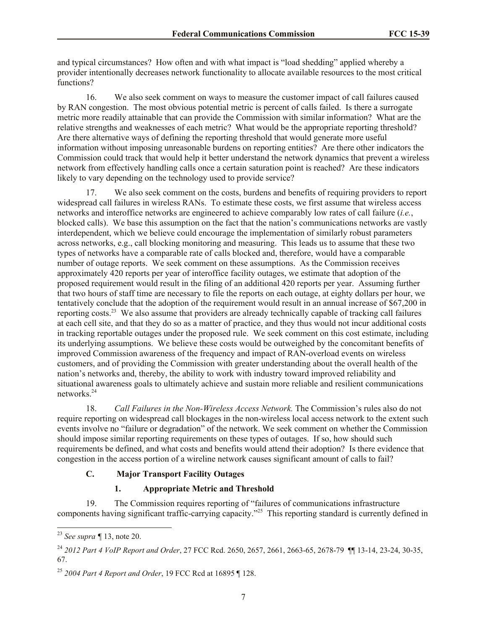and typical circumstances? How often and with what impact is "load shedding" applied whereby a provider intentionally decreases network functionality to allocate available resources to the most critical functions?

16. We also seek comment on ways to measure the customer impact of call failures caused by RAN congestion. The most obvious potential metric is percent of calls failed. Is there a surrogate metric more readily attainable that can provide the Commission with similar information? What are the relative strengths and weaknesses of each metric? What would be the appropriate reporting threshold? Are there alternative ways of defining the reporting threshold that would generate more useful information without imposing unreasonable burdens on reporting entities? Are there other indicators the Commission could track that would help it better understand the network dynamics that prevent a wireless network from effectively handling calls once a certain saturation point is reached? Are these indicators likely to vary depending on the technology used to provide service?

17. We also seek comment on the costs, burdens and benefits of requiring providers to report widespread call failures in wireless RANs. To estimate these costs, we first assume that wireless access networks and interoffice networks are engineered to achieve comparably low rates of call failure (*i.e.*, blocked calls). We base this assumption on the fact that the nation's communications networks are vastly interdependent, which we believe could encourage the implementation of similarly robust parameters across networks, e.g., call blocking monitoring and measuring. This leads us to assume that these two types of networks have a comparable rate of calls blocked and, therefore, would have a comparable number of outage reports. We seek comment on these assumptions. As the Commission receives approximately 420 reports per year of interoffice facility outages, we estimate that adoption of the proposed requirement would result in the filing of an additional 420 reports per year. Assuming further that two hours of staff time are necessary to file the reports on each outage, at eighty dollars per hour, we tentatively conclude that the adoption of the requirement would result in an annual increase of \$67,200 in reporting costs.<sup>23</sup> We also assume that providers are already technically capable of tracking call failures at each cell site, and that they do so as a matter of practice, and they thus would not incur additional costs in tracking reportable outages under the proposed rule. We seek comment on this cost estimate, including its underlying assumptions. We believe these costs would be outweighed by the concomitant benefits of improved Commission awareness of the frequency and impact of RAN-overload events on wireless customers, and of providing the Commission with greater understanding about the overall health of the nation's networks and, thereby, the ability to work with industry toward improved reliability and situational awareness goals to ultimately achieve and sustain more reliable and resilient communications networks. 24

18. *Call Failures in the Non-Wireless Access Network.* The Commission's rules also do not require reporting on widespread call blockages in the non-wireless local access network to the extent such events involve no "failure or degradation" of the network. We seek comment on whether the Commission should impose similar reporting requirements on these types of outages. If so, how should such requirements be defined, and what costs and benefits would attend their adoption? Is there evidence that congestion in the access portion of a wireline network causes significant amount of calls to fail?

# **C. Major Transport Facility Outages**

## **1. Appropriate Metric and Threshold**

19. The Commission requires reporting of "failures of communications infrastructure components having significant traffic-carrying capacity."<sup>25</sup> This reporting standard is currently defined in

 $\overline{\phantom{a}}$ 

<sup>23</sup> *See supra ¶* 13, note 20.

<sup>24</sup> *2012 Part 4 VoIP Report and Order*, 27 FCC Rcd. 2650, 2657, 2661, 2663-65, 2678-79 ¶¶ 13-14, 23-24, 30-35, 67.

<sup>25</sup> *2004 Part 4 Report and Order*, 19 FCC Rcd at 16895 ¶ 128.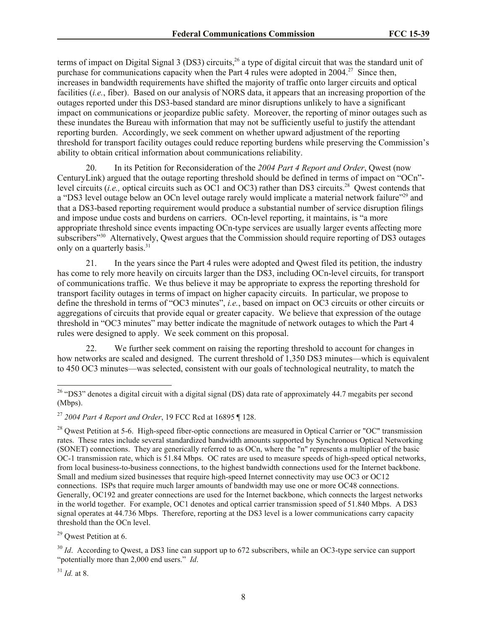terms of impact on Digital Signal 3 (DS3) circuits,<sup>26</sup> a type of digital circuit that was the standard unit of purchase for communications capacity when the Part 4 rules were adopted in  $2004$ <sup>27</sup> Since then, increases in bandwidth requirements have shifted the majority of traffic onto larger circuits and optical facilities *(i.e., fiber)*. Based on our analysis of NORS data, it appears that an increasing proportion of the outages reported under this DS3-based standard are minor disruptions unlikely to have a significant impact on communications or jeopardize public safety. Moreover, the reporting of minor outages such as these inundates the Bureau with information that may not be sufficiently useful to justify the attendant reporting burden. Accordingly, we seek comment on whether upward adjustment of the reporting threshold for transport facility outages could reduce reporting burdens while preserving the Commission's ability to obtain critical information about communications reliability.

20. In its Petition for Reconsideration of the *2004 Part 4 Report and Order*, Qwest (now CenturyLink) argued that the outage reporting threshold should be defined in terms of impact on "OCn" level circuits (*i.e.*, optical circuits such as OC1 and OC3) rather than DS3 circuits.<sup>28</sup> Qwest contends that a "DS3 level outage below an OCn level outage rarely would implicate a material network failure"<sup>29</sup> and that a DS3-based reporting requirement would produce a substantial number of service disruption filings and impose undue costs and burdens on carriers. OCn-level reporting, it maintains, is "a more appropriate threshold since events impacting OCn-type services are usually larger events affecting more subscribers<sup>"30</sup> Alternatively, Qwest argues that the Commission should require reporting of DS3 outages only on a quarterly basis.<sup>31</sup>

21. In the years since the Part 4 rules were adopted and Qwest filed its petition, the industry has come to rely more heavily on circuits larger than the DS3, including OCn-level circuits, for transport of communications traffic. We thus believe it may be appropriate to express the reporting threshold for transport facility outages in terms of impact on higher capacity circuits. In particular, we propose to define the threshold in terms of "OC3 minutes", *i.e.*, based on impact on OC3 circuits or other circuits or aggregations of circuits that provide equal or greater capacity. We believe that expression of the outage threshold in "OC3 minutes" may better indicate the magnitude of network outages to which the Part 4 rules were designed to apply. We seek comment on this proposal.

22. We further seek comment on raising the reporting threshold to account for changes in how networks are scaled and designed. The current threshold of 1,350 DS3 minutes—which is equivalent to 450 OC3 minutes—was selected, consistent with our goals of technological neutrality, to match the

<sup>29</sup> Owest Petition at 6.

<sup>30</sup> *Id.* According to Qwest, a DS3 line can support up to 672 subscribers, while an OC3-type service can support "potentially more than 2,000 end users." *Id*.

 $31$  *Id.* at 8.

 $\overline{a}$ 

 $26$  "DS3" denotes a digital circuit with a digital signal (DS) data rate of approximately 44.7 megabits per second (Mbps).

<sup>27</sup> *2004 Part 4 Report and Order*, 19 FCC Rcd at 16895 ¶ 128.

<sup>&</sup>lt;sup>28</sup> Owest Petition at 5-6. High-speed fiber-optic connections are measured in Optical Carrier or "OC" transmission rates. These rates include several standardized bandwidth amounts supported by Synchronous Optical Networking (SONET) connections. They are generically referred to as OCn, where the "n" represents a multiplier of the basic OC-1 transmission rate, which is 51.84 Mbps. OC rates are used to measure speeds of high-speed optical networks, from local business-to-business connections, to the highest bandwidth connections used for the Internet backbone. Small and medium sized businesses that require high-speed Internet connectivity may use OC3 or OC12 connections. ISPs that require much larger amounts of bandwidth may use one or more OC48 connections. Generally, OC192 and greater connections are used for the Internet backbone, which connects the largest networks in the world together. For example, OC1 denotes and optical carrier transmission speed of 51.840 Mbps. A DS3 signal operates at 44.736 Mbps. Therefore, reporting at the DS3 level is a lower communications carry capacity threshold than the OCn level.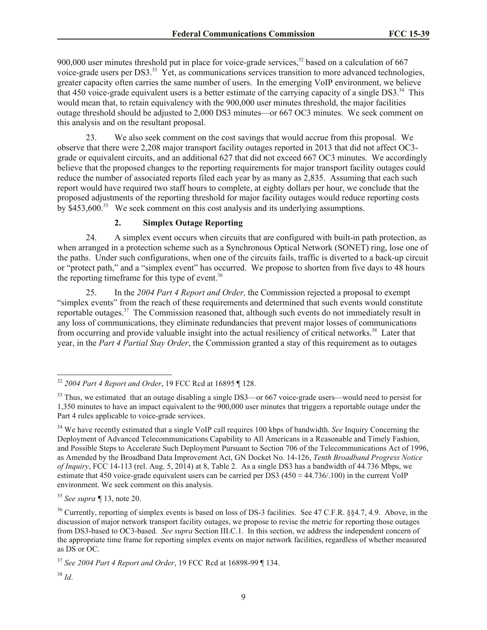900,000 user minutes threshold put in place for voice-grade services,<sup>32</sup> based on a calculation of 667 voice-grade users per DS3.<sup>33</sup> Yet, as communications services transition to more advanced technologies, greater capacity often carries the same number of users. In the emerging VoIP environment, we believe that 450 voice-grade equivalent users is a better estimate of the carrying capacity of a single DS3.<sup>34</sup> This would mean that, to retain equivalency with the 900,000 user minutes threshold, the major facilities outage threshold should be adjusted to 2,000 DS3 minutes—or 667 OC3 minutes. We seek comment on this analysis and on the resultant proposal.

23. We also seek comment on the cost savings that would accrue from this proposal. We observe that there were 2,208 major transport facility outages reported in 2013 that did not affect OC3 grade or equivalent circuits, and an additional 627 that did not exceed 667 OC3 minutes. We accordingly believe that the proposed changes to the reporting requirements for major transport facility outages could reduce the number of associated reports filed each year by as many as 2,835. Assuming that each such report would have required two staff hours to complete, at eighty dollars per hour, we conclude that the proposed adjustments of the reporting threshold for major facility outages would reduce reporting costs by \$453,600.<sup>35</sup> We seek comment on this cost analysis and its underlying assumptions.

# **2. Simplex Outage Reporting**

24. A simplex event occurs when circuits that are configured with built-in path protection, as when arranged in a protection scheme such as a Synchronous Optical Network (SONET) ring, lose one of the paths. Under such configurations, when one of the circuits fails, traffic is diverted to a back-up circuit or "protect path," and a "simplex event" has occurred. We propose to shorten from five days to 48 hours the reporting timeframe for this type of event. $36$ 

25. In the *2004 Part 4 Report and Order,* the Commission rejected a proposal to exempt "simplex events" from the reach of these requirements and determined that such events would constitute reportable outages.<sup>37</sup> The Commission reasoned that, although such events do not immediately result in any loss of communications, they eliminate redundancies that prevent major losses of communications from occurring and provide valuable insight into the actual resiliency of critical networks.<sup>38</sup> Later that year, in the *Part 4 Partial Stay Order*, the Commission granted a stay of this requirement as to outages

<sup>35</sup> *See supra ¶* 13, note 20.

 $\overline{\phantom{a}}$ 

<sup>32</sup> *2004 Part 4 Report and Order*, 19 FCC Rcd at 16895 ¶ 128.

<sup>&</sup>lt;sup>33</sup> Thus, we estimated that an outage disabling a single DS3—or 667 voice-grade users—would need to persist for 1,350 minutes to have an impact equivalent to the 900,000 user minutes that triggers a reportable outage under the Part 4 rules applicable to voice-grade services.

<sup>&</sup>lt;sup>34</sup> We have recently estimated that a single VoIP call requires 100 kbps of bandwidth. *See* Inquiry Concerning the Deployment of Advanced Telecommunications Capability to All Americans in a Reasonable and Timely Fashion, and Possible Steps to Accelerate Such Deployment Pursuant to Section 706 of the Telecommunications Act of 1996, as Amended by the Broadband Data Improvement Act, GN Docket No. 14-126, *Tenth Broadband Progress Notice of Inquiry*, FCC 14-113 (rel. Aug. 5, 2014) at 8, Table 2. As a single DS3 has a bandwidth of 44.736 Mbps, we estimate that 450 voice-grade equivalent users can be carried per DS3 (450  $\approx$  44.736/.100) in the current VoIP environment. We seek comment on this analysis.

<sup>&</sup>lt;sup>36</sup> Currently, reporting of simplex events is based on loss of DS-3 facilities. See 47 C.F.R. §§4.7, 4.9. Above, in the discussion of major network transport facility outages, we propose to revise the metric for reporting those outages from DS3-based to OC3-based. *See supra* Section III.C.1. In this section, we address the independent concern of the appropriate time frame for reporting simplex events on major network facilities, regardless of whether measured as DS or OC.

<sup>37</sup> *See 2004 Part 4 Report and Order*, 19 FCC Rcd at 16898-99 ¶ 134.

<sup>38</sup> *Id*.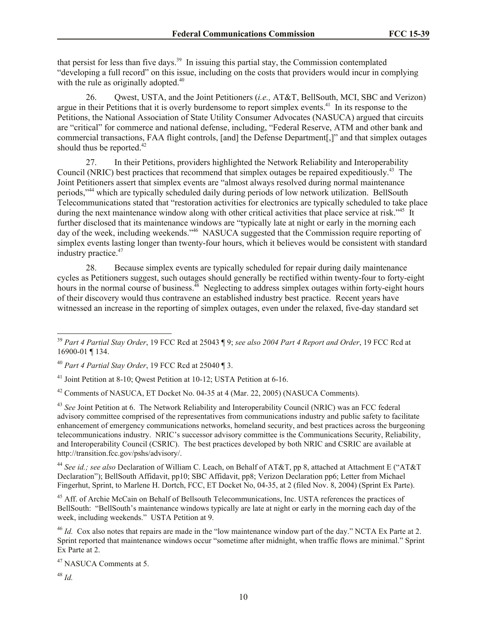that persist for less than five days.<sup>39</sup> In issuing this partial stay, the Commission contemplated "developing a full record" on this issue, including on the costs that providers would incur in complying with the rule as originally adopted.<sup>40</sup>

26. Qwest, USTA, and the Joint Petitioners (*i.e.,* AT&T, BellSouth, MCI, SBC and Verizon) argue in their Petitions that it is overly burdensome to report simplex events.<sup>41</sup> In its response to the Petitions, the National Association of State Utility Consumer Advocates (NASUCA) argued that circuits are "critical" for commerce and national defense, including, "Federal Reserve, ATM and other bank and commercial transactions, FAA flight controls, [and] the Defense Department[,]" and that simplex outages should thus be reported. $42$ 

27. In their Petitions, providers highlighted the Network Reliability and Interoperability Council (NRIC) best practices that recommend that simplex outages be repaired expeditiously.<sup>43</sup> The Joint Petitioners assert that simplex events are "almost always resolved during normal maintenance periods,"<sup>44</sup> which are typically scheduled daily during periods of low network utilization. BellSouth Telecommunications stated that "restoration activities for electronics are typically scheduled to take place during the next maintenance window along with other critical activities that place service at risk."<sup>45</sup> It further disclosed that its maintenance windows are "typically late at night or early in the morning each day of the week, including weekends."<sup>46</sup> NASUCA suggested that the Commission require reporting of simplex events lasting longer than twenty-four hours, which it believes would be consistent with standard industry practice. 47

28. Because simplex events are typically scheduled for repair during daily maintenance cycles as Petitioners suggest, such outages should generally be rectified within twenty-four to forty-eight hours in the normal course of business.<sup>48</sup> Neglecting to address simplex outages within forty-eight hours of their discovery would thus contravene an established industry best practice. Recent years have witnessed an increase in the reporting of simplex outages, even under the relaxed, five-day standard set

<sup>41</sup> Joint Petition at 8-10; Qwest Petition at 10-12; USTA Petition at 6-16.

<sup>42</sup> Comments of NASUCA, ET Docket No. 04-35 at 4 (Mar. 22, 2005) (NASUCA Comments).

<sup>43</sup> See Joint Petition at 6. The Network Reliability and Interoperability Council (NRIC) was an FCC federal advisory committee comprised of the representatives from communications industry and public safety to facilitate enhancement of emergency communications networks, homeland security, and best practices across the burgeoning telecommunications industry. NRIC's successor advisory committee is the Communications Security, Reliability, and Interoperability Council (CSRIC). The best practices developed by both NRIC and CSRIC are available at http://transition.fcc.gov/pshs/advisory/.

<sup>44</sup> *See id.; see also* Declaration of William C. Leach, on Behalf of AT&T, pp 8, attached at Attachment E ("AT&T Declaration"); BellSouth Affidavit, pp10; SBC Affidavit, pp8; Verizon Declaration pp6; Letter from Michael Fingerhut, Sprint, to Marlene H. Dortch, FCC, ET Docket No, 04-35, at 2 (filed Nov. 8, 2004) (Sprint Ex Parte).

<sup>45</sup> Aff. of Archie McCain on Behalf of Bellsouth Telecommunications, Inc. USTA references the practices of BellSouth: "BellSouth's maintenance windows typically are late at night or early in the morning each day of the week, including weekends." USTA Petition at 9.

<sup>46</sup> *Id.* Cox also notes that repairs are made in the "low maintenance window part of the day." NCTA Ex Parte at 2. Sprint reported that maintenance windows occur "sometime after midnight, when traffic flows are minimal." Sprint Ex Parte at 2.

<sup>47</sup> NASUCA Comments at 5.

<sup>48</sup> *Id.*

 $\overline{a}$ 

<sup>39</sup> *Part 4 Partial Stay Order*, 19 FCC Rcd at 25043 ¶ 9; *see also 2004 Part 4 Report and Order*, 19 FCC Rcd at 16900-01 ¶ 134.

<sup>40</sup> *Part 4 Partial Stay Order*, 19 FCC Rcd at 25040 ¶ 3.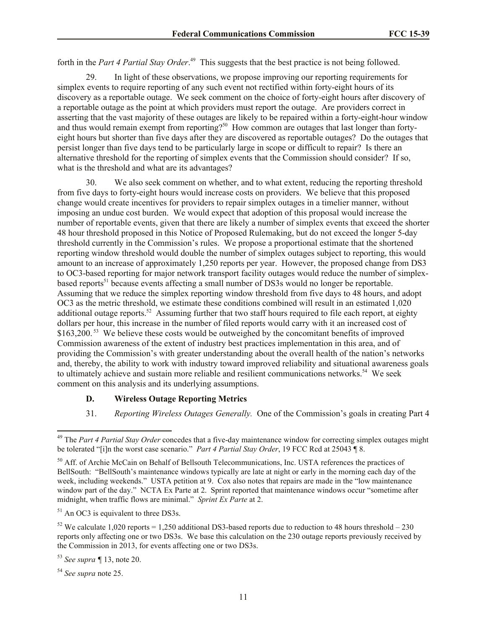forth in the *Part 4 Partial Stay Order*.<sup>49</sup> This suggests that the best practice is not being followed.

29. In light of these observations, we propose improving our reporting requirements for simplex events to require reporting of any such event not rectified within forty-eight hours of its discovery as a reportable outage. We seek comment on the choice of forty-eight hours after discovery of a reportable outage as the point at which providers must report the outage. Are providers correct in asserting that the vast majority of these outages are likely to be repaired within a forty-eight-hour window and thus would remain exempt from reporting?<sup>50</sup> How common are outages that last longer than fortyeight hours but shorter than five days after they are discovered as reportable outages? Do the outages that persist longer than five days tend to be particularly large in scope or difficult to repair? Is there an alternative threshold for the reporting of simplex events that the Commission should consider? If so, what is the threshold and what are its advantages?

30. We also seek comment on whether, and to what extent, reducing the reporting threshold from five days to forty-eight hours would increase costs on providers. We believe that this proposed change would create incentives for providers to repair simplex outages in a timelier manner, without imposing an undue cost burden. We would expect that adoption of this proposal would increase the number of reportable events, given that there are likely a number of simplex events that exceed the shorter 48 hour threshold proposed in this Notice of Proposed Rulemaking, but do not exceed the longer 5-day threshold currently in the Commission's rules. We propose a proportional estimate that the shortened reporting window threshold would double the number of simplex outages subject to reporting, this would amount to an increase of approximately 1,250 reports per year. However, the proposed change from DS3 to OC3-based reporting for major network transport facility outages would reduce the number of simplexbased reports<sup>51</sup> because events affecting a small number of DS3s would no longer be reportable. Assuming that we reduce the simplex reporting window threshold from five days to 48 hours, and adopt OC3 as the metric threshold, we estimate these conditions combined will result in an estimated 1,020 additional outage reports.<sup>52</sup> Assuming further that two staff hours required to file each report, at eighty dollars per hour, this increase in the number of filed reports would carry with it an increased cost of \$163,200.<sup>53</sup> We believe these costs would be outweighed by the concomitant benefits of improved Commission awareness of the extent of industry best practices implementation in this area, and of providing the Commission's with greater understanding about the overall health of the nation's networks and, thereby, the ability to work with industry toward improved reliability and situational awareness goals to ultimately achieve and sustain more reliable and resilient communications networks.<sup>54</sup> We seek comment on this analysis and its underlying assumptions.

## **D. Wireless Outage Reporting Metrics**

31. *Reporting Wireless Outages Generally.* One of the Commission's goals in creating Part 4

 $51$  An OC3 is equivalent to three DS3s.

<sup>52</sup> We calculate 1,020 reports = 1,250 additional DS3-based reports due to reduction to 48 hours threshold – 230 reports only affecting one or two DS3s. We base this calculation on the 230 outage reports previously received by the Commission in 2013, for events affecting one or two DS3s.

 $\overline{\phantom{a}}$ 

<sup>49</sup> The *Part 4 Partial Stay Order* concedes that a five-day maintenance window for correcting simplex outages might be tolerated "[i]n the worst case scenario." *Part 4 Partial Stay Order*, 19 FCC Rcd at 25043 ¶ 8.

<sup>&</sup>lt;sup>50</sup> Aff. of Archie McCain on Behalf of Bellsouth Telecommunications, Inc. USTA references the practices of BellSouth: "BellSouth's maintenance windows typically are late at night or early in the morning each day of the week, including weekends." USTA petition at 9. Cox also notes that repairs are made in the "low maintenance window part of the day." NCTA Ex Parte at 2. Sprint reported that maintenance windows occur "sometime after midnight, when traffic flows are minimal." *Sprint Ex Parte* at 2.

<sup>53</sup> *See supra ¶* 13, note 20.

<sup>54</sup> *See supra* note 25.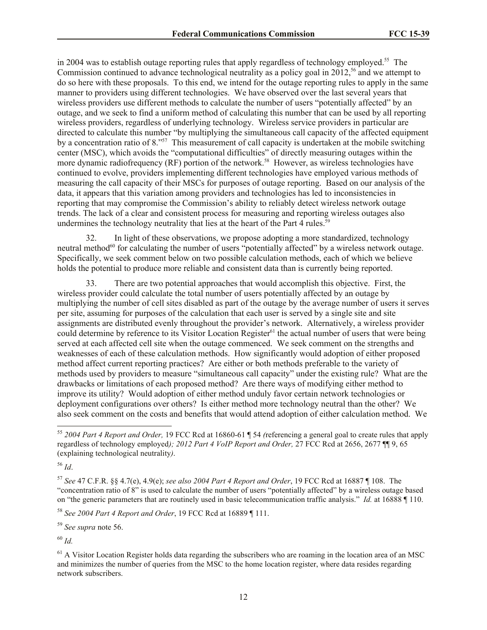in 2004 was to establish outage reporting rules that apply regardless of technology employed.<sup>55</sup> The Commission continued to advance technological neutrality as a policy goal in  $2012$ ,<sup>56</sup> and we attempt to do so here with these proposals. To this end, we intend for the outage reporting rules to apply in the same manner to providers using different technologies. We have observed over the last several years that wireless providers use different methods to calculate the number of users "potentially affected" by an outage, and we seek to find a uniform method of calculating this number that can be used by all reporting wireless providers, regardless of underlying technology. Wireless service providers in particular are directed to calculate this number "by multiplying the simultaneous call capacity of the affected equipment by a concentration ratio of 8.<sup>557</sup> This measurement of call capacity is undertaken at the mobile switching center (MSC), which avoids the "computational difficulties" of directly measuring outages within the more dynamic radiofrequency (RF) portion of the network.<sup>58</sup> However, as wireless technologies have continued to evolve, providers implementing different technologies have employed various methods of measuring the call capacity of their MSCs for purposes of outage reporting. Based on our analysis of the data, it appears that this variation among providers and technologies has led to inconsistencies in reporting that may compromise the Commission's ability to reliably detect wireless network outage trends. The lack of a clear and consistent process for measuring and reporting wireless outages also undermines the technology neutrality that lies at the heart of the Part 4 rules.<sup>59</sup>

32. In light of these observations, we propose adopting a more standardized, technology neutral method<sup>60</sup> for calculating the number of users "potentially affected" by a wireless network outage. Specifically, we seek comment below on two possible calculation methods, each of which we believe holds the potential to produce more reliable and consistent data than is currently being reported.

33. There are two potential approaches that would accomplish this objective. First, the wireless provider could calculate the total number of users potentially affected by an outage by multiplying the number of cell sites disabled as part of the outage by the average number of users it serves per site, assuming for purposes of the calculation that each user is served by a single site and site assignments are distributed evenly throughout the provider's network. Alternatively, a wireless provider could determine by reference to its Visitor Location Register<sup>61</sup> the actual number of users that were being served at each affected cell site when the outage commenced. We seek comment on the strengths and weaknesses of each of these calculation methods. How significantly would adoption of either proposed method affect current reporting practices? Are either or both methods preferable to the variety of methods used by providers to measure "simultaneous call capacity" under the existing rule? What are the drawbacks or limitations of each proposed method? Are there ways of modifying either method to improve its utility? Would adoption of either method unduly favor certain network technologies or deployment configurations over others? Is either method more technology neutral than the other? We also seek comment on the costs and benefits that would attend adoption of either calculation method. We

 $\overline{\phantom{a}}$ 

<sup>58</sup> *See 2004 Part 4 Report and Order*, 19 FCC Rcd at 16889 ¶ 111.

<sup>59</sup> *See supra* note 56.

<sup>60</sup> *Id.*

<sup>55</sup> *2004 Part 4 Report and Order,* 19 FCC Rcd at 16860-61 ¶ 54 *(*referencing a general goal to create rules that apply regardless of technology employed*); 2012 Part 4 VoIP Report and Order,* 27 FCC Rcd at 2656, 2677 ¶¶ 9, 65 (explaining technological neutrality*)*.

<sup>56</sup> *Id*.

<sup>57</sup> *See* 47 C.F.R. §§ 4.7(e), 4.9(e); *see also 2004 Part 4 Report and Order*, 19 FCC Rcd at 16887 ¶ 108. The "concentration ratio of 8" is used to calculate the number of users "potentially affected" by a wireless outage based on "the generic parameters that are routinely used in basic telecommunication traffic analysis." *Id.* at 16888 ¶ 110.

 $<sup>61</sup>$  A Visitor Location Register holds data regarding the subscribers who are roaming in the location area of an MSC</sup> and minimizes the number of queries from the MSC to the home location register, where data resides regarding network subscribers.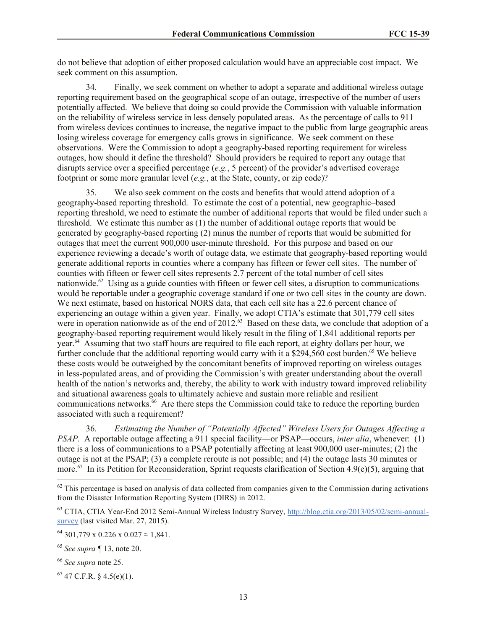do not believe that adoption of either proposed calculation would have an appreciable cost impact. We seek comment on this assumption.

34. Finally, we seek comment on whether to adopt a separate and additional wireless outage reporting requirement based on the geographical scope of an outage, irrespective of the number of users potentially affected. We believe that doing so could provide the Commission with valuable information on the reliability of wireless service in less densely populated areas. As the percentage of calls to 911 from wireless devices continues to increase, the negative impact to the public from large geographic areas losing wireless coverage for emergency calls grows in significance. We seek comment on these observations. Were the Commission to adopt a geography-based reporting requirement for wireless outages, how should it define the threshold? Should providers be required to report any outage that disrupts service over a specified percentage (*e.g.*, 5 percent) of the provider's advertised coverage footprint or some more granular level (*e.g.*, at the State, county, or zip code)?

35. We also seek comment on the costs and benefits that would attend adoption of a geography-based reporting threshold. To estimate the cost of a potential, new geographic–based reporting threshold, we need to estimate the number of additional reports that would be filed under such a threshold. We estimate this number as (1) the number of additional outage reports that would be generated by geography-based reporting (2) minus the number of reports that would be submitted for outages that meet the current 900,000 user-minute threshold. For this purpose and based on our experience reviewing a decade's worth of outage data, we estimate that geography-based reporting would generate additional reports in counties where a company has fifteen or fewer cell sites. The number of counties with fifteen or fewer cell sites represents 2.7 percent of the total number of cell sites nationwide.<sup>62</sup> Using as a guide counties with fifteen or fewer cell sites, a disruption to communications would be reportable under a geographic coverage standard if one or two cell sites in the county are down. We next estimate, based on historical NORS data, that each cell site has a 22.6 percent chance of experiencing an outage within a given year. Finally, we adopt CTIA's estimate that 301,779 cell sites were in operation nationwide as of the end of 2012.<sup>63</sup> Based on these data, we conclude that adoption of a geography-based reporting requirement would likely result in the filing of 1,841 additional reports per year.<sup>64</sup> Assuming that two staff hours are required to file each report, at eighty dollars per hour, we further conclude that the additional reporting would carry with it a  $$294,560$  cost burden.<sup>65</sup> We believe these costs would be outweighed by the concomitant benefits of improved reporting on wireless outages in less-populated areas, and of providing the Commission's with greater understanding about the overall health of the nation's networks and, thereby, the ability to work with industry toward improved reliability and situational awareness goals to ultimately achieve and sustain more reliable and resilient communications networks. <sup>66</sup> Are there steps the Commission could take to reduce the reporting burden associated with such a requirement?

36. *Estimating the Number of "Potentially Affected" Wireless Users for Outages Affecting a PSAP.* A reportable outage affecting a 911 special facility—or PSAP—occurs, *inter alia*, whenever: (1) there is a loss of communications to a PSAP potentially affecting at least 900,000 user-minutes; (2) the outage is not at the PSAP; (3) a complete reroute is not possible; and (4) the outage lasts 30 minutes or more.<sup>67</sup> In its Petition for Reconsideration, Sprint requests clarification of Section 4.9(e)(5), arguing that

<sup>66</sup> *See supra* note 25.

 $\overline{\phantom{a}}$ 

 $67$  47 C.F.R. § 4.5(e)(1).

 $62$  This percentage is based on analysis of data collected from companies given to the Commission during activations from the Disaster Information Reporting System (DIRS) in 2012.

<sup>63</sup> CTIA, CTIA Year-End 2012 Semi-Annual Wireless Industry Survey, http://blog.ctia.org/2013/05/02/semi-annualsurvey (last visited Mar. 27, 2015).

<sup>&</sup>lt;sup>64</sup> 301,779 x 0.226 x 0.027  $\approx$  1,841.

<sup>65</sup> *See supra ¶* 13, note 20.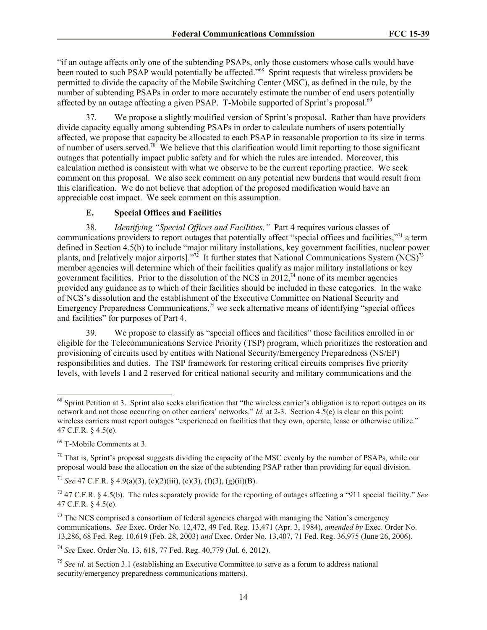"if an outage affects only one of the subtending PSAPs, only those customers whose calls would have been routed to such PSAP would potentially be affected.<sup>768</sup> Sprint requests that wireless providers be permitted to divide the capacity of the Mobile Switching Center (MSC), as defined in the rule, by the number of subtending PSAPs in order to more accurately estimate the number of end users potentially affected by an outage affecting a given PSAP. T-Mobile supported of Sprint's proposal.<sup>69</sup>

37. We propose a slightly modified version of Sprint's proposal. Rather than have providers divide capacity equally among subtending PSAPs in order to calculate numbers of users potentially affected, we propose that capacity be allocated to each PSAP in reasonable proportion to its size in terms of number of users served.<sup>70</sup> We believe that this clarification would limit reporting to those significant outages that potentially impact public safety and for which the rules are intended. Moreover, this calculation method is consistent with what we observe to be the current reporting practice. We seek comment on this proposal. We also seek comment on any potential new burdens that would result from this clarification. We do not believe that adoption of the proposed modification would have an appreciable cost impact. We seek comment on this assumption.

## **E. Special Offices and Facilities**

38. *Identifying "Special Offices and Facilities."* Part 4 requires various classes of communications providers to report outages that potentially affect "special offices and facilities,"<sup>71</sup> a term defined in Section 4.5(b) to include "major military installations, key government facilities, nuclear power plants, and [relatively major airports]."<sup>72</sup> It further states that National Communications System (NCS)<sup>73</sup> member agencies will determine which of their facilities qualify as major military installations or key government facilities. Prior to the dissolution of the NCS in  $2012<sup>74</sup>$  none of its member agencies provided any guidance as to which of their facilities should be included in these categories. In the wake of NCS's dissolution and the establishment of the Executive Committee on National Security and Emergency Preparedness Communications,<sup>75</sup> we seek alternative means of identifying "special offices and facilities" for purposes of Part 4.

39. We propose to classify as "special offices and facilities" those facilities enrolled in or eligible for the Telecommunications Service Priority (TSP) program, which prioritizes the restoration and provisioning of circuits used by entities with National Security/Emergency Preparedness (NS/EP) responsibilities and duties. The TSP framework for restoring critical circuits comprises five priority levels, with levels 1 and 2 reserved for critical national security and military communications and the

<sup>69</sup> T-Mobile Comments at 3.

 $\overline{\phantom{a}}$ 

 $\frac{70}{10}$  That is. Sprint's proposal suggests dividing the capacity of the MSC evenly by the number of PSAPs, while our proposal would base the allocation on the size of the subtending PSAP rather than providing for equal division.

<sup>71</sup> *See* 47 C.F.R. § 4.9(a)(3), (c)(2)(iii), (e)(3), (f)(3), (g)(ii)(B).

<sup>74</sup> *See* Exec. Order No. 13, 618, 77 Fed. Reg. 40,779 (Jul. 6, 2012).

 $68$  Sprint Petition at 3. Sprint also seeks clarification that "the wireless carrier's obligation is to report outages on its network and not those occurring on other carriers' networks." *Id.* at 2-3. Section 4.5(e) is clear on this point: wireless carriers must report outages "experienced on facilities that they own, operate, lease or otherwise utilize." 47 C.F.R. § 4.5(e).

<sup>72</sup> 47 C.F.R. § 4.5(b). The rules separately provide for the reporting of outages affecting a "911 special facility." *See* 47 C.F.R. § 4.5(e).

 $^{73}$  The NCS comprised a consortium of federal agencies charged with managing the Nation's emergency communications. *See* Exec. Order No. 12,472, 49 Fed. Reg. 13,471 (Apr. 3, 1984), *amended by* Exec. Order No. 13,286, 68 Fed. Reg. 10,619 (Feb. 28, 2003) *and* Exec. Order No. 13,407, 71 Fed. Reg. 36,975 (June 26, 2006).

<sup>75</sup> *See id.* at Section 3.1 (establishing an Executive Committee to serve as a forum to address national security/emergency preparedness communications matters).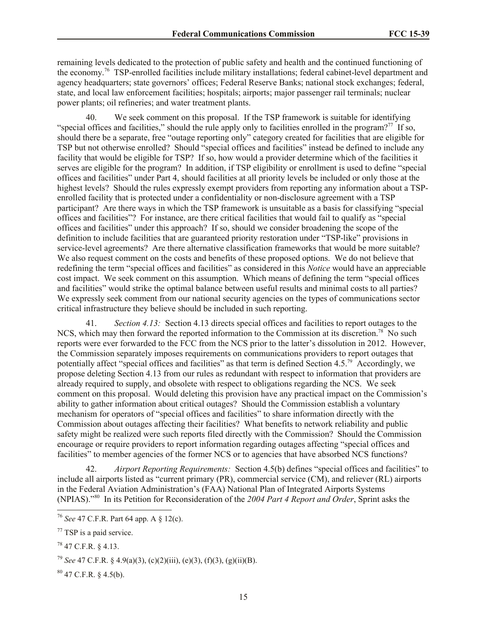remaining levels dedicated to the protection of public safety and health and the continued functioning of the economy.<sup>76</sup> TSP-enrolled facilities include military installations; federal cabinet-level department and agency headquarters; state governors' offices; Federal Reserve Banks; national stock exchanges; federal, state, and local law enforcement facilities; hospitals; airports; major passenger rail terminals; nuclear power plants; oil refineries; and water treatment plants.

40. We seek comment on this proposal. If the TSP framework is suitable for identifying "special offices and facilities," should the rule apply only to facilities enrolled in the program?<sup>77</sup> If so, should there be a separate, free "outage reporting only" category created for facilities that are eligible for TSP but not otherwise enrolled? Should "special offices and facilities" instead be defined to include any facility that would be eligible for TSP? If so, how would a provider determine which of the facilities it serves are eligible for the program? In addition, if TSP eligibility or enrollment is used to define "special offices and facilities" under Part 4, should facilities at all priority levels be included or only those at the highest levels? Should the rules expressly exempt providers from reporting any information about a TSPenrolled facility that is protected under a confidentiality or non-disclosure agreement with a TSP participant? Are there ways in which the TSP framework is unsuitable as a basis for classifying "special offices and facilities"? For instance, are there critical facilities that would fail to qualify as "special offices and facilities" under this approach? If so, should we consider broadening the scope of the definition to include facilities that are guaranteed priority restoration under "TSP-like" provisions in service-level agreements? Are there alternative classification frameworks that would be more suitable? We also request comment on the costs and benefits of these proposed options. We do not believe that redefining the term "special offices and facilities" as considered in this *Notice* would have an appreciable cost impact. We seek comment on this assumption. Which means of defining the term "special offices and facilities" would strike the optimal balance between useful results and minimal costs to all parties? We expressly seek comment from our national security agencies on the types of communications sector critical infrastructure they believe should be included in such reporting.

41. *Section 4.13:* Section 4.13 directs special offices and facilities to report outages to the NCS, which may then forward the reported information to the Commission at its discretion.<sup>78</sup> No such reports were ever forwarded to the FCC from the NCS prior to the latter's dissolution in 2012. However, the Commission separately imposes requirements on communications providers to report outages that potentially affect "special offices and facilities" as that term is defined Section 4.5.<sup>79</sup> Accordingly, we propose deleting Section 4.13 from our rules as redundant with respect to information that providers are already required to supply, and obsolete with respect to obligations regarding the NCS. We seek comment on this proposal. Would deleting this provision have any practical impact on the Commission's ability to gather information about critical outages? Should the Commission establish a voluntary mechanism for operators of "special offices and facilities" to share information directly with the Commission about outages affecting their facilities? What benefits to network reliability and public safety might be realized were such reports filed directly with the Commission? Should the Commission encourage or require providers to report information regarding outages affecting "special offices and facilities" to member agencies of the former NCS or to agencies that have absorbed NCS functions?

42. *Airport Reporting Requirements:* Section 4.5(b) defines "special offices and facilities" to include all airports listed as "current primary (PR), commercial service (CM), and reliever (RL) airports in the Federal Aviation Administration's (FAA) National Plan of Integrated Airports Systems (NPIAS)."<sup>80</sup> In its Petition for Reconsideration of the *2004 Part 4 Report and Order*, Sprint asks the

 $\overline{a}$ 

<sup>76</sup> *See* 47 C.F.R. Part 64 app. A § 12(c).

 $77$  TSP is a paid service.

 $^{78}$  47 C.F.R. § 4.13.

<sup>79</sup> *See* 47 C.F.R. § 4.9(a)(3), (c)(2)(iii), (e)(3), (f)(3), (g)(ii)(B).

 $80$  47 C.F.R. § 4.5(b).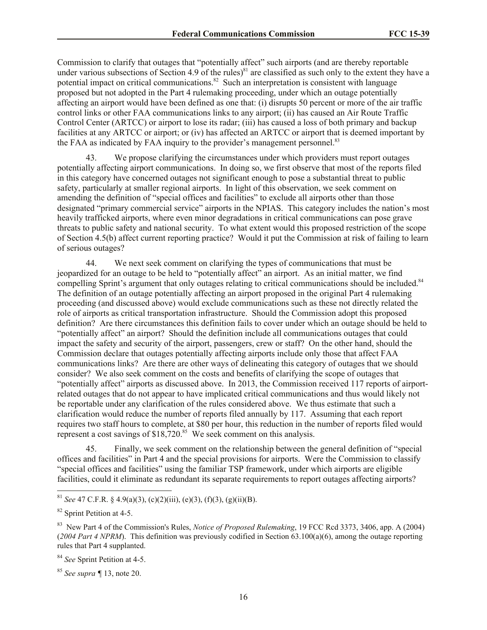Commission to clarify that outages that "potentially affect" such airports (and are thereby reportable under various subsections of Section 4.9 of the rules)<sup>81</sup> are classified as such only to the extent they have a potential impact on critical communications.<sup>82</sup> Such an interpretation is consistent with language proposed but not adopted in the Part 4 rulemaking proceeding, under which an outage potentially affecting an airport would have been defined as one that: (i) disrupts 50 percent or more of the air traffic control links or other FAA communications links to any airport; (ii) has caused an Air Route Traffic Control Center (ARTCC) or airport to lose its radar; (iii) has caused a loss of both primary and backup facilities at any ARTCC or airport; or (iv) has affected an ARTCC or airport that is deemed important by the FAA as indicated by FAA inquiry to the provider's management personnel.<sup>83</sup>

43. We propose clarifying the circumstances under which providers must report outages potentially affecting airport communications. In doing so, we first observe that most of the reports filed in this category have concerned outages not significant enough to pose a substantial threat to public safety, particularly at smaller regional airports. In light of this observation, we seek comment on amending the definition of "special offices and facilities" to exclude all airports other than those designated "primary commercial service" airports in the NPIAS. This category includes the nation's most heavily trafficked airports, where even minor degradations in critical communications can pose grave threats to public safety and national security. To what extent would this proposed restriction of the scope of Section 4.5(b) affect current reporting practice? Would it put the Commission at risk of failing to learn of serious outages?

44. We next seek comment on clarifying the types of communications that must be jeopardized for an outage to be held to "potentially affect" an airport. As an initial matter, we find compelling Sprint's argument that only outages relating to critical communications should be included.<sup>84</sup> The definition of an outage potentially affecting an airport proposed in the original Part 4 rulemaking proceeding (and discussed above) would exclude communications such as these not directly related the role of airports as critical transportation infrastructure. Should the Commission adopt this proposed definition? Are there circumstances this definition fails to cover under which an outage should be held to "potentially affect" an airport? Should the definition include all communications outages that could impact the safety and security of the airport, passengers, crew or staff? On the other hand, should the Commission declare that outages potentially affecting airports include only those that affect FAA communications links? Are there are other ways of delineating this category of outages that we should consider? We also seek comment on the costs and benefits of clarifying the scope of outages that "potentially affect" airports as discussed above. In 2013, the Commission received 117 reports of airportrelated outages that do not appear to have implicated critical communications and thus would likely not be reportable under any clarification of the rules considered above. We thus estimate that such a clarification would reduce the number of reports filed annually by 117. Assuming that each report requires two staff hours to complete, at \$80 per hour, this reduction in the number of reports filed would represent a cost savings of  $$18,720$ .<sup>85</sup> We seek comment on this analysis.

45. Finally, we seek comment on the relationship between the general definition of "special offices and facilities" in Part 4 and the special provisions for airports. Were the Commission to classify "special offices and facilities" using the familiar TSP framework, under which airports are eligible facilities, could it eliminate as redundant its separate requirements to report outages affecting airports?

 $\overline{\phantom{a}}$ 

<sup>81</sup> *See* 47 C.F.R. § 4.9(a)(3), (c)(2)(iii), (e)(3), (f)(3), (g)(ii)(B).

<sup>&</sup>lt;sup>82</sup> Sprint Petition at 4-5.

<sup>83</sup> New Part 4 of the Commission's Rules, *Notice of Proposed Rulemaking*, 19 FCC Rcd 3373, 3406, app. A (2004) (*2004 Part 4 NPRM*). This definition was previously codified in Section 63.100(a)(6), among the outage reporting rules that Part 4 supplanted.

<sup>84</sup> *See* Sprint Petition at 4-5.

<sup>85</sup> *See supra ¶* 13, note 20.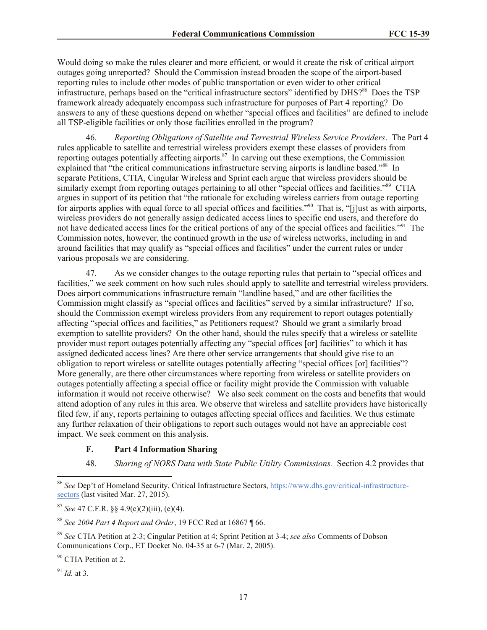Would doing so make the rules clearer and more efficient, or would it create the risk of critical airport outages going unreported? Should the Commission instead broaden the scope of the airport-based reporting rules to include other modes of public transportation or even wider to other critical infrastructure, perhaps based on the "critical infrastructure sectors" identified by DHS?<sup>86</sup> Does the TSP framework already adequately encompass such infrastructure for purposes of Part 4 reporting? Do answers to any of these questions depend on whether "special offices and facilities" are defined to include all TSP-eligible facilities or only those facilities enrolled in the program?

46. *Reporting Obligations of Satellite and Terrestrial Wireless Service Providers*. The Part 4 rules applicable to satellite and terrestrial wireless providers exempt these classes of providers from reporting outages potentially affecting airports.<sup>87</sup> In carving out these exemptions, the Commission explained that "the critical communications infrastructure serving airports is landline based."<sup>88</sup> In separate Petitions, CTIA, Cingular Wireless and Sprint each argue that wireless providers should be similarly exempt from reporting outages pertaining to all other "special offices and facilities."<sup>89</sup> CTIA argues in support of its petition that "the rationale for excluding wireless carriers from outage reporting for airports applies with equal force to all special offices and facilities."<sup>90</sup> That is, "[j]ust as with airports, wireless providers do not generally assign dedicated access lines to specific end users, and therefore do not have dedicated access lines for the critical portions of any of the special offices and facilities."<sup>91</sup> The Commission notes, however, the continued growth in the use of wireless networks, including in and around facilities that may qualify as "special offices and facilities" under the current rules or under various proposals we are considering.

47. As we consider changes to the outage reporting rules that pertain to "special offices and facilities," we seek comment on how such rules should apply to satellite and terrestrial wireless providers. Does airport communications infrastructure remain "landline based," and are other facilities the Commission might classify as "special offices and facilities" served by a similar infrastructure? If so, should the Commission exempt wireless providers from any requirement to report outages potentially affecting "special offices and facilities," as Petitioners request? Should we grant a similarly broad exemption to satellite providers? On the other hand, should the rules specify that a wireless or satellite provider must report outages potentially affecting any "special offices [or] facilities" to which it has assigned dedicated access lines? Are there other service arrangements that should give rise to an obligation to report wireless or satellite outages potentially affecting "special offices [or] facilities"? More generally, are there other circumstances where reporting from wireless or satellite providers on outages potentially affecting a special office or facility might provide the Commission with valuable information it would not receive otherwise? We also seek comment on the costs and benefits that would attend adoption of any rules in this area. We observe that wireless and satellite providers have historically filed few, if any, reports pertaining to outages affecting special offices and facilities. We thus estimate any further relaxation of their obligations to report such outages would not have an appreciable cost impact. We seek comment on this analysis.

## **F. Part 4 Information Sharing**

48. *Sharing of NORS Data with State Public Utility Commissions.* Section 4.2 provides that

 $91$  *Id.* at 3.

 $\overline{a}$ 

<sup>86</sup> *See* Dep't of Homeland Security, Critical Infrastructure Sectors, https://www.dhs.gov/critical-infrastructuresectors (last visited Mar. 27, 2015).

<sup>87</sup> *See* 47 C.F.R. §§ 4.9(c)(2)(iii), (e)(4).

<sup>88</sup> *See 2004 Part 4 Report and Order*, 19 FCC Rcd at 16867 ¶ 66.

<sup>89</sup> *See* CTIA Petition at 2-3; Cingular Petition at 4; Sprint Petition at 3-4; *see also* Comments of Dobson Communications Corp., ET Docket No. 04-35 at 6-7 (Mar. 2, 2005).

<sup>&</sup>lt;sup>90</sup> CTIA Petition at 2.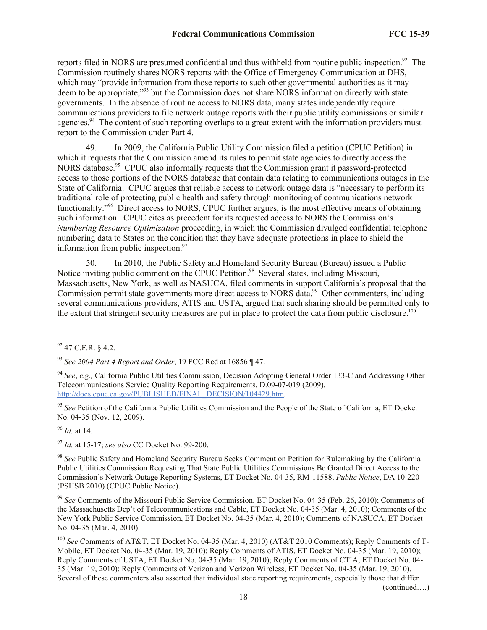reports filed in NORS are presumed confidential and thus withheld from routine public inspection.<sup>92</sup> The Commission routinely shares NORS reports with the Office of Emergency Communication at DHS, which may "provide information from those reports to such other governmental authorities as it may deem to be appropriate,"<sup>93</sup> but the Commission does not share NORS information directly with state governments. In the absence of routine access to NORS data, many states independently require communications providers to file network outage reports with their public utility commissions or similar agencies.<sup>94</sup> The content of such reporting overlaps to a great extent with the information providers must report to the Commission under Part 4.

49. In 2009, the California Public Utility Commission filed a petition (CPUC Petition) in which it requests that the Commission amend its rules to permit state agencies to directly access the NORS database.<sup>95</sup> CPUC also informally requests that the Commission grant it password-protected access to those portions of the NORS database that contain data relating to communications outages in the State of California. CPUC argues that reliable access to network outage data is "necessary to perform its traditional role of protecting public health and safety through monitoring of communications network functionality.<sup>"96</sup> Direct access to NORS, CPUC further argues, is the most effective means of obtaining such information. CPUC cites as precedent for its requested access to NORS the Commission's *Numbering Resource Optimization* proceeding, in which the Commission divulged confidential telephone numbering data to States on the condition that they have adequate protections in place to shield the information from public inspection. $97$ 

50. In 2010, the Public Safety and Homeland Security Bureau (Bureau) issued a Public Notice inviting public comment on the CPUC Petition.<sup>98</sup> Several states, including Missouri, Massachusetts, New York, as well as NASUCA, filed comments in support California's proposal that the Commission permit state governments more direct access to NORS data.<sup>99</sup> Other commenters, including several communications providers, ATIS and USTA, argued that such sharing should be permitted only to the extent that stringent security measures are put in place to protect the data from public disclosure.<sup>100</sup>

<sup>96</sup> *Id.* at 14.

<sup>97</sup> *Id.* at 15-17; *see also* CC Docket No. 99-200.

<sup>98</sup> *See* Public Safety and Homeland Security Bureau Seeks Comment on Petition for Rulemaking by the California Public Utilities Commission Requesting That State Public Utilities Commissions Be Granted Direct Access to the Commission's Network Outage Reporting Systems, ET Docket No. 04-35, RM-11588, *Public Notice*, DA 10-220 (PSHSB 2010) (CPUC Public Notice).

<sup>99</sup> *See* Comments of the Missouri Public Service Commission, ET Docket No. 04-35 (Feb. 26, 2010); Comments of the Massachusetts Dep't of Telecommunications and Cable, ET Docket No. 04-35 (Mar. 4, 2010); Comments of the New York Public Service Commission, ET Docket No. 04-35 (Mar. 4, 2010); Comments of NASUCA, ET Docket No. 04-35 (Mar. 4, 2010).

<sup>100</sup> *See* Comments of AT&T, ET Docket No. 04-35 (Mar. 4, 2010) (AT&T 2010 Comments); Reply Comments of T-Mobile, ET Docket No. 04-35 (Mar. 19, 2010); Reply Comments of ATIS, ET Docket No. 04-35 (Mar. 19, 2010); Reply Comments of USTA, ET Docket No. 04-35 (Mar. 19, 2010); Reply Comments of CTIA, ET Docket No. 04- 35 (Mar. 19, 2010); Reply Comments of Verizon and Verizon Wireless, ET Docket No. 04-35 (Mar. 19, 2010). Several of these commenters also asserted that individual state reporting requirements, especially those that differ

(continued….)

 $\overline{\phantom{a}}$  $92$  47 C.F.R. § 4.2.

<sup>93</sup> *See 2004 Part 4 Report and Order*, 19 FCC Rcd at 16856 ¶ 47.

<sup>94</sup> *See*, *e.g.,* California Public Utilities Commission, Decision Adopting General Order 133-C and Addressing Other Telecommunications Service Quality Reporting Requirements, D.09-07-019 (2009), http://docs.cpuc.ca.gov/PUBLISHED/FINAL\_DECISION/104429.htm.

<sup>95</sup> *See* Petition of the California Public Utilities Commission and the People of the State of California, ET Docket No. 04-35 (Nov. 12, 2009).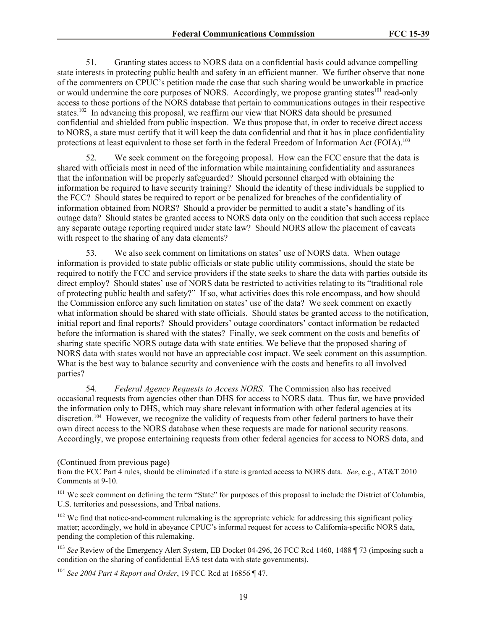51. Granting states access to NORS data on a confidential basis could advance compelling state interests in protecting public health and safety in an efficient manner. We further observe that none of the commenters on CPUC's petition made the case that such sharing would be unworkable in practice or would undermine the core purposes of NORS. Accordingly, we propose granting states<sup>101</sup> read-only access to those portions of the NORS database that pertain to communications outages in their respective states.<sup>102</sup> In advancing this proposal, we reaffirm our view that NORS data should be presumed confidential and shielded from public inspection. We thus propose that, in order to receive direct access to NORS, a state must certify that it will keep the data confidential and that it has in place confidentiality protections at least equivalent to those set forth in the federal Freedom of Information Act (FOIA).<sup>103</sup>

52. We seek comment on the foregoing proposal. How can the FCC ensure that the data is shared with officials most in need of the information while maintaining confidentiality and assurances that the information will be properly safeguarded? Should personnel charged with obtaining the information be required to have security training? Should the identity of these individuals be supplied to the FCC? Should states be required to report or be penalized for breaches of the confidentiality of information obtained from NORS? Should a provider be permitted to audit a state's handling of its outage data? Should states be granted access to NORS data only on the condition that such access replace any separate outage reporting required under state law? Should NORS allow the placement of caveats with respect to the sharing of any data elements?

53. We also seek comment on limitations on states' use of NORS data. When outage information is provided to state public officials or state public utility commissions, should the state be required to notify the FCC and service providers if the state seeks to share the data with parties outside its direct employ? Should states' use of NORS data be restricted to activities relating to its "traditional role of protecting public health and safety?" If so, what activities does this role encompass, and how should the Commission enforce any such limitation on states' use of the data? We seek comment on exactly what information should be shared with state officials. Should states be granted access to the notification, initial report and final reports? Should providers' outage coordinators' contact information be redacted before the information is shared with the states? Finally, we seek comment on the costs and benefits of sharing state specific NORS outage data with state entities. We believe that the proposed sharing of NORS data with states would not have an appreciable cost impact. We seek comment on this assumption. What is the best way to balance security and convenience with the costs and benefits to all involved parties?

54. *Federal Agency Requests to Access NORS.* The Commission also has received occasional requests from agencies other than DHS for access to NORS data. Thus far, we have provided the information only to DHS, which may share relevant information with other federal agencies at its discretion.<sup>104</sup> However, we recognize the validity of requests from other federal partners to have their own direct access to the NORS database when these requests are made for national security reasons. Accordingly, we propose entertaining requests from other federal agencies for access to NORS data, and

(Continued from previous page)

<sup>101</sup> We seek comment on defining the term "State" for purposes of this proposal to include the District of Columbia, U.S. territories and possessions, and Tribal nations.

 $102$  We find that notice-and-comment rulemaking is the appropriate vehicle for addressing this significant policy matter; accordingly, we hold in abeyance CPUC's informal request for access to California-specific NORS data, pending the completion of this rulemaking.

<sup>103</sup> See Review of the Emergency Alert System, EB Docket 04-296, 26 FCC Rcd 1460, 1488 ¶ 73 (imposing such a condition on the sharing of confidential EAS test data with state governments).

<sup>104</sup> *See 2004 Part 4 Report and Order*, 19 FCC Rcd at 16856 ¶ 47.

from the FCC Part 4 rules, should be eliminated if a state is granted access to NORS data. *See*, e.g., AT&T 2010 Comments at 9-10.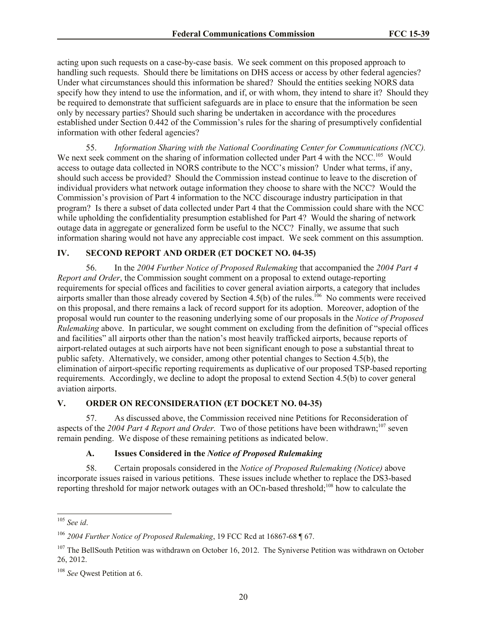acting upon such requests on a case-by-case basis. We seek comment on this proposed approach to handling such requests. Should there be limitations on DHS access or access by other federal agencies? Under what circumstances should this information be shared? Should the entities seeking NORS data specify how they intend to use the information, and if, or with whom, they intend to share it? Should they be required to demonstrate that sufficient safeguards are in place to ensure that the information be seen only by necessary parties? Should such sharing be undertaken in accordance with the procedures established under Section 0.442 of the Commission's rules for the sharing of presumptively confidential information with other federal agencies?

55. *Information Sharing with the National Coordinating Center for Communications (NCC).* We next seek comment on the sharing of information collected under Part 4 with the NCC.<sup>105</sup> Would access to outage data collected in NORS contribute to the NCC's mission? Under what terms, if any, should such access be provided? Should the Commission instead continue to leave to the discretion of individual providers what network outage information they choose to share with the NCC? Would the Commission's provision of Part 4 information to the NCC discourage industry participation in that program? Is there a subset of data collected under Part 4 that the Commission could share with the NCC while upholding the confidentiality presumption established for Part 4? Would the sharing of network outage data in aggregate or generalized form be useful to the NCC? Finally, we assume that such information sharing would not have any appreciable cost impact. We seek comment on this assumption.

## **IV. SECOND REPORT AND ORDER (ET DOCKET NO. 04-35)**

56. In the *2004 Further Notice of Proposed Rulemaking* that accompanied the *2004 Part 4 Report and Order*, the Commission sought comment on a proposal to extend outage-reporting requirements for special offices and facilities to cover general aviation airports, a category that includes airports smaller than those already covered by Section  $4.5(b)$  of the rules.<sup>106</sup> No comments were received on this proposal, and there remains a lack of record support for its adoption. Moreover, adoption of the proposal would run counter to the reasoning underlying some of our proposals in the *Notice of Proposed Rulemaking* above. In particular, we sought comment on excluding from the definition of "special offices and facilities" all airports other than the nation's most heavily trafficked airports, because reports of airport-related outages at such airports have not been significant enough to pose a substantial threat to public safety. Alternatively, we consider, among other potential changes to Section 4.5(b), the elimination of airport-specific reporting requirements as duplicative of our proposed TSP-based reporting requirements. Accordingly, we decline to adopt the proposal to extend Section 4.5(b) to cover general aviation airports.

# **V. ORDER ON RECONSIDERATION (ET DOCKET NO. 04-35)**

57. As discussed above, the Commission received nine Petitions for Reconsideration of aspects of the 2004 Part 4 Report and Order. Two of those petitions have been withdrawn;<sup>107</sup> seven remain pending. We dispose of these remaining petitions as indicated below.

## **A. Issues Considered in the** *Notice of Proposed Rulemaking*

58. Certain proposals considered in the *Notice of Proposed Rulemaking (Notice)* above incorporate issues raised in various petitions. These issues include whether to replace the DS3-based reporting threshold for major network outages with an OCn-based threshold;<sup>108</sup> how to calculate the

 $\overline{a}$ 

<sup>105</sup> *See id*.

<sup>106</sup> *2004 Further Notice of Proposed Rulemaking*, 19 FCC Rcd at 16867-68 ¶ 67.

<sup>&</sup>lt;sup>107</sup> The BellSouth Petition was withdrawn on October 16, 2012. The Syniverse Petition was withdrawn on October 26, 2012.

<sup>108</sup> *See* Qwest Petition at 6.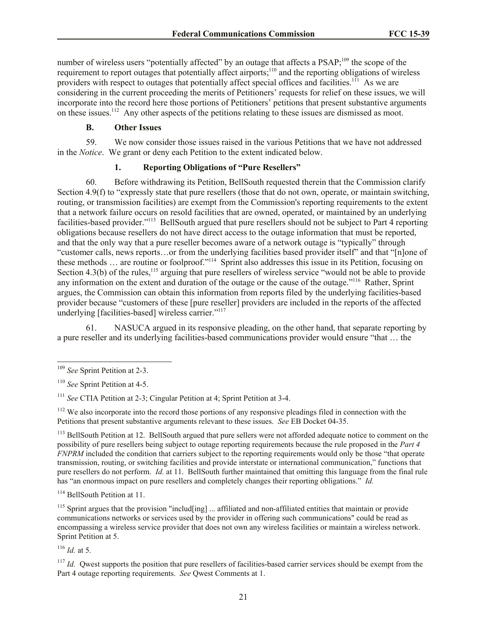number of wireless users "potentially affected" by an outage that affects a PSAP;<sup>109</sup> the scope of the requirement to report outages that potentially affect airports;<sup>110</sup> and the reporting obligations of wireless providers with respect to outages that potentially affect special offices and facilities.<sup>111</sup> As we are considering in the current proceeding the merits of Petitioners' requests for relief on these issues, we will incorporate into the record here those portions of Petitioners' petitions that present substantive arguments on these issues.<sup>112</sup> Any other aspects of the petitions relating to these issues are dismissed as moot.

# **B. Other Issues**

59. We now consider those issues raised in the various Petitions that we have not addressed in the *Notice*. We grant or deny each Petition to the extent indicated below.

# **1. Reporting Obligations of "Pure Resellers"**

60. Before withdrawing its Petition, BellSouth requested therein that the Commission clarify Section 4.9(f) to "expressly state that pure resellers (those that do not own, operate, or maintain switching, routing, or transmission facilities) are exempt from the Commission's reporting requirements to the extent that a network failure occurs on resold facilities that are owned, operated, or maintained by an underlying facilities-based provider."<sup>113</sup> BellSouth argued that pure resellers should not be subject to Part 4 reporting obligations because resellers do not have direct access to the outage information that must be reported, and that the only way that a pure reseller becomes aware of a network outage is "typically" through "customer calls, news reports…or from the underlying facilities based provider itself" and that "[n]one of these methods ... are routine or foolproof."<sup>114</sup> Sprint also addresses this issue in its Petition, focusing on Section 4.3(b) of the rules,<sup>115</sup> arguing that pure resellers of wireless service "would not be able to provide" any information on the extent and duration of the outage or the cause of the outage."<sup>116</sup> Rather, Sprint argues, the Commission can obtain this information from reports filed by the underlying facilities-based provider because "customers of these [pure reseller] providers are included in the reports of the affected underlying [facilities-based] wireless carrier."<sup>117</sup>

61. NASUCA argued in its responsive pleading, on the other hand, that separate reporting by a pure reseller and its underlying facilities-based communications provider would ensure "that … the

 $\overline{\phantom{a}}$ 

<sup>113</sup> BellSouth Petition at 12. BellSouth argued that pure sellers were not afforded adequate notice to comment on the possibility of pure resellers being subject to outage reporting requirements because the rule proposed in the *Part 4 FNPRM* included the condition that carriers subject to the reporting requirements would only be those "that operate transmission, routing, or switching facilities and provide interstate or international communication," functions that pure resellers do not perform. *Id.* at 11. BellSouth further maintained that omitting this language from the final rule has "an enormous impact on pure resellers and completely changes their reporting obligations." *Id.*

<sup>114</sup> BellSouth Petition at 11.

 $115$  Sprint argues that the provision "includ [ing]  $\ldots$  affiliated and non-affiliated entities that maintain or provide communications networks or services used by the provider in offering such communications" could be read as encompassing a wireless service provider that does not own any wireless facilities or maintain a wireless network. Sprint Petition at 5.

<sup>116</sup> *Id.* at 5.

<sup>109</sup> *See* Sprint Petition at 2-3.

<sup>110</sup> *See* Sprint Petition at 4-5.

<sup>111</sup> *See* CTIA Petition at 2-3; Cingular Petition at 4; Sprint Petition at 3-4.

<sup>&</sup>lt;sup>112</sup> We also incorporate into the record those portions of any responsive pleadings filed in connection with the Petitions that present substantive arguments relevant to these issues. *See* EB Docket 04-35.

 $117$  *Id.* Qwest supports the position that pure resellers of facilities-based carrier services should be exempt from the Part 4 outage reporting requirements. *See* Qwest Comments at 1.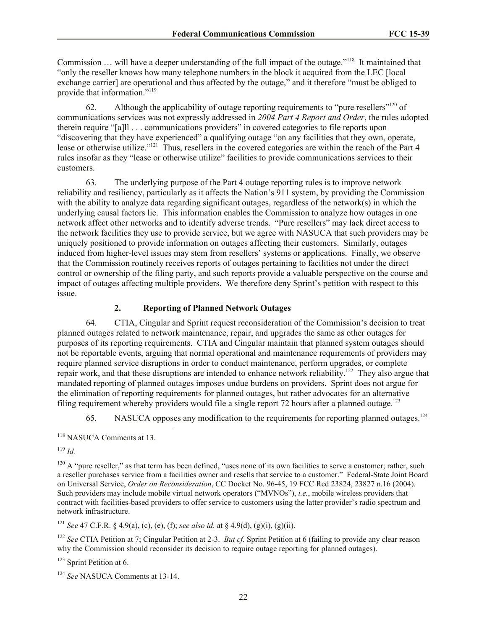Commission ... will have a deeper understanding of the full impact of the outage."<sup>118</sup> It maintained that "only the reseller knows how many telephone numbers in the block it acquired from the LEC [local exchange carrier] are operational and thus affected by the outage," and it therefore "must be obliged to provide that information."<sup>119</sup>

62. Although the applicability of outage reporting requirements to "pure resellers"<sup>120</sup> of communications services was not expressly addressed in *2004 Part 4 Report and Order*, the rules adopted therein require "[a]ll . . . communications providers" in covered categories to file reports upon "discovering that they have experienced" a qualifying outage "on any facilities that they own, operate, lease or otherwise utilize."<sup>121</sup> Thus, resellers in the covered categories are within the reach of the Part 4 rules insofar as they "lease or otherwise utilize" facilities to provide communications services to their customers.

63. The underlying purpose of the Part 4 outage reporting rules is to improve network reliability and resiliency, particularly as it affects the Nation's 911 system, by providing the Commission with the ability to analyze data regarding significant outages, regardless of the network(s) in which the underlying causal factors lie. This information enables the Commission to analyze how outages in one network affect other networks and to identify adverse trends. "Pure resellers" may lack direct access to the network facilities they use to provide service, but we agree with NASUCA that such providers may be uniquely positioned to provide information on outages affecting their customers. Similarly, outages induced from higher-level issues may stem from resellers' systems or applications. Finally, we observe that the Commission routinely receives reports of outages pertaining to facilities not under the direct control or ownership of the filing party, and such reports provide a valuable perspective on the course and impact of outages affecting multiple providers. We therefore deny Sprint's petition with respect to this issue.

# **2. Reporting of Planned Network Outages**

64. CTIA, Cingular and Sprint request reconsideration of the Commission's decision to treat planned outages related to network maintenance, repair, and upgrades the same as other outages for purposes of its reporting requirements. CTIA and Cingular maintain that planned system outages should not be reportable events, arguing that normal operational and maintenance requirements of providers may require planned service disruptions in order to conduct maintenance, perform upgrades, or complete repair work, and that these disruptions are intended to enhance network reliability.<sup>122</sup> They also argue that mandated reporting of planned outages imposes undue burdens on providers. Sprint does not argue for the elimination of reporting requirements for planned outages, but rather advocates for an alternative filing requirement whereby providers would file a single report 72 hours after a planned outage.<sup>123</sup>

65. NASUCA opposes any modification to the requirements for reporting planned outages.<sup>124</sup>

<sup>119</sup> *Id.*

 $\overline{\phantom{a}}$ 

<sup>121</sup> *See* 47 C.F.R. § 4.9(a), (c), (e), (f); *see also id.* at § 4.9(d), (g)(i), (g)(ii).

<sup>122</sup> *See* CTIA Petition at 7; Cingular Petition at 2-3. *But cf.* Sprint Petition at 6 (failing to provide any clear reason why the Commission should reconsider its decision to require outage reporting for planned outages).

<sup>123</sup> Sprint Petition at 6.

<sup>&</sup>lt;sup>118</sup> NASUCA Comments at 13.

 $120$  A "pure reseller," as that term has been defined, "uses none of its own facilities to serve a customer; rather, such a reseller purchases service from a facilities owner and resells that service to a customer." Federal-State Joint Board on Universal Service, *Order on Reconsideration*, CC Docket No. 96-45, 19 FCC Rcd 23824, 23827 n.16 (2004). Such providers may include mobile virtual network operators ("MVNOs"), *i.e.*, mobile wireless providers that contract with facilities-based providers to offer service to customers using the latter provider's radio spectrum and network infrastructure.

<sup>124</sup> *See* NASUCA Comments at 13-14.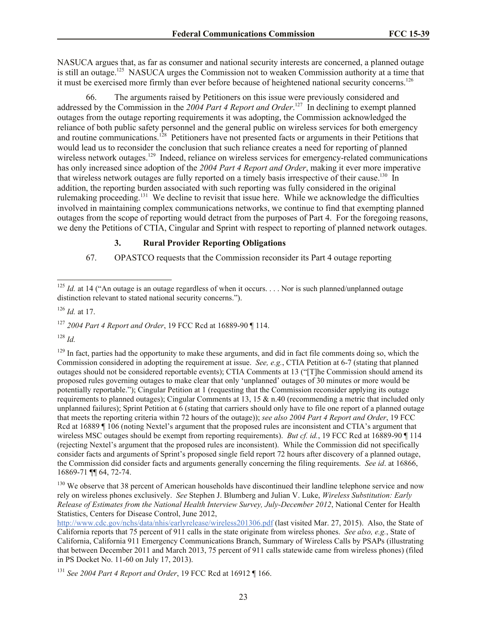NASUCA argues that, as far as consumer and national security interests are concerned, a planned outage is still an outage.<sup>125</sup> NASUCA urges the Commission not to weaken Commission authority at a time that it must be exercised more firmly than ever before because of heightened national security concerns.<sup>126</sup>

66. The arguments raised by Petitioners on this issue were previously considered and addressed by the Commission in the 2004 Part 4 Report and Order.<sup>127</sup> In declining to exempt planned outages from the outage reporting requirements it was adopting, the Commission acknowledged the reliance of both public safety personnel and the general public on wireless services for both emergency and routine communications.<sup>128</sup> Petitioners have not presented facts or arguments in their Petitions that would lead us to reconsider the conclusion that such reliance creates a need for reporting of planned wireless network outages.<sup>129</sup> Indeed, reliance on wireless services for emergency-related communications has only increased since adoption of the *2004 Part 4 Report and Order*, making it ever more imperative that wireless network outages are fully reported on a timely basis irrespective of their cause.<sup>130</sup> In addition, the reporting burden associated with such reporting was fully considered in the original rulemaking proceeding.<sup>131</sup> We decline to revisit that issue here. While we acknowledge the difficulties involved in maintaining complex communications networks, we continue to find that exempting planned outages from the scope of reporting would detract from the purposes of Part 4. For the foregoing reasons, we deny the Petitions of CTIA, Cingular and Sprint with respect to reporting of planned network outages.

## **3. Rural Provider Reporting Obligations**

67. OPASTCO requests that the Commission reconsider its Part 4 outage reporting

<sup>127</sup> *2004 Part 4 Report and Order*, 19 FCC Rcd at 16889-90 ¶ 114.

<sup>128</sup> *Id.*

 $\overline{a}$ 

 $129$  In fact, parties had the opportunity to make these arguments, and did in fact file comments doing so, which the Commission considered in adopting the requirement at issue. *See, e.g.*, CTIA Petition at 6-7 (stating that planned outages should not be considered reportable events); CTIA Comments at 13 ("[T]he Commission should amend its proposed rules governing outages to make clear that only 'unplanned' outages of 30 minutes or more would be potentially reportable."); Cingular Petition at 1 (requesting that the Commission reconsider applying its outage requirements to planned outages); Cingular Comments at 13, 15 & n.40 (recommending a metric that included only unplanned failures); Sprint Petition at 6 (stating that carriers should only have to file one report of a planned outage that meets the reporting criteria within 72 hours of the outage)); *see also 2004 Part 4 Report and Order*, 19 FCC Rcd at 16889 ¶ 106 (noting Nextel's argument that the proposed rules are inconsistent and CTIA's argument that wireless MSC outages should be exempt from reporting requirements). *But cf. id.*, 19 FCC Rcd at 16889-90 ¶ 114 (rejecting Nextel's argument that the proposed rules are inconsistent). While the Commission did not specifically consider facts and arguments of Sprint's proposed single field report 72 hours after discovery of a planned outage, the Commission did consider facts and arguments generally concerning the filing requirements. *See id*. at 16866, 16869-71 ¶¶ 64, 72-74.

<sup>130</sup> We observe that 38 percent of American households have discontinued their landline telephone service and now rely on wireless phones exclusively. *See* Stephen J. Blumberg and Julian V. Luke, *Wireless Substitution: Early Release of Estimates from the National Health Interview Survey, July-December 2012*, National Center for Health Statistics, Centers for Disease Control, June 2012,

<sup>131</sup> *See 2004 Part 4 Report and Order*, 19 FCC Rcd at 16912 ¶ 166.

<sup>&</sup>lt;sup>125</sup> *Id.* at 14 ("An outage is an outage regardless of when it occurs... Nor is such planned/unplanned outage distinction relevant to stated national security concerns.").

<sup>126</sup> *Id.* at 17.

http://www.cdc.gov/nchs/data/nhis/earlyrelease/wireless201306.pdf (last visited Mar. 27, 2015). Also, the State of California reports that 75 percent of 911 calls in the state originate from wireless phones. *See also, e.g.*, State of California, California 911 Emergency Communications Branch, Summary of Wireless Calls by PSAPs (illustrating that between December 2011 and March 2013, 75 percent of 911 calls statewide came from wireless phones) (filed in PS Docket No. 11-60 on July 17, 2013).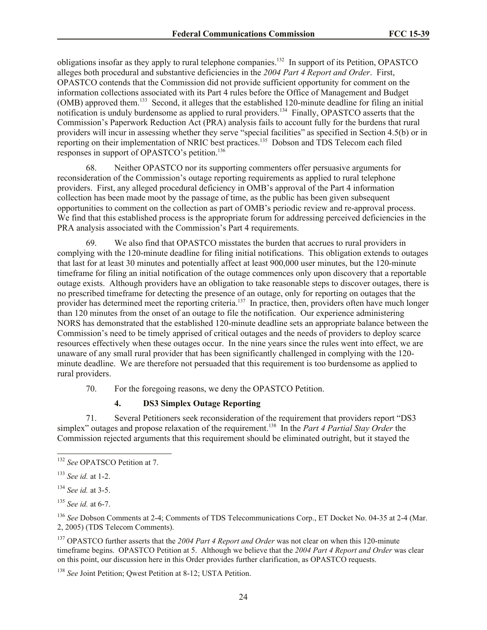obligations insofar as they apply to rural telephone companies.<sup>132</sup> In support of its Petition, OPASTCO alleges both procedural and substantive deficiencies in the *2004 Part 4 Report and Order*. First, OPASTCO contends that the Commission did not provide sufficient opportunity for comment on the information collections associated with its Part 4 rules before the Office of Management and Budget (OMB) approved them.<sup>133</sup> Second, it alleges that the established 120-minute deadline for filing an initial notification is unduly burdensome as applied to rural providers.<sup>134</sup> Finally, OPASTCO asserts that the Commission's Paperwork Reduction Act (PRA) analysis fails to account fully for the burdens that rural providers will incur in assessing whether they serve "special facilities" as specified in Section 4.5(b) or in reporting on their implementation of NRIC best practices.<sup>135</sup> Dobson and TDS Telecom each filed responses in support of OPASTCO's petition.<sup>136</sup>

68. Neither OPASTCO nor its supporting commenters offer persuasive arguments for reconsideration of the Commission's outage reporting requirements as applied to rural telephone providers. First, any alleged procedural deficiency in OMB's approval of the Part 4 information collection has been made moot by the passage of time, as the public has been given subsequent opportunities to comment on the collection as part of OMB's periodic review and re-approval process. We find that this established process is the appropriate forum for addressing perceived deficiencies in the PRA analysis associated with the Commission's Part 4 requirements.

69. We also find that OPASTCO misstates the burden that accrues to rural providers in complying with the 120-minute deadline for filing initial notifications. This obligation extends to outages that last for at least 30 minutes and potentially affect at least 900,000 user minutes, but the 120-minute timeframe for filing an initial notification of the outage commences only upon discovery that a reportable outage exists. Although providers have an obligation to take reasonable steps to discover outages, there is no prescribed timeframe for detecting the presence of an outage, only for reporting on outages that the provider has determined meet the reporting criteria.<sup>137</sup> In practice, then, providers often have much longer than 120 minutes from the onset of an outage to file the notification. Our experience administering NORS has demonstrated that the established 120-minute deadline sets an appropriate balance between the Commission's need to be timely apprised of critical outages and the needs of providers to deploy scarce resources effectively when these outages occur. In the nine years since the rules went into effect, we are unaware of any small rural provider that has been significantly challenged in complying with the 120 minute deadline. We are therefore not persuaded that this requirement is too burdensome as applied to rural providers.

70. For the foregoing reasons, we deny the OPASTCO Petition.

# **4. DS3 Simplex Outage Reporting**

71. Several Petitioners seek reconsideration of the requirement that providers report "DS3 simplex" outages and propose relaxation of the requirement. 138 In the *Part 4 Partial Stay Order* the Commission rejected arguments that this requirement should be eliminated outright, but it stayed the

 $\overline{\phantom{a}}$ 

<sup>137</sup> OPASTCO further asserts that the *2004 Part 4 Report and Order* was not clear on when this 120-minute timeframe begins. OPASTCO Petition at 5. Although we believe that the *2004 Part 4 Report and Order* was clear on this point, our discussion here in this Order provides further clarification, as OPASTCO requests.

<sup>138</sup> *See* Joint Petition; Qwest Petition at 8-12; USTA Petition.

<sup>132</sup> *See* OPATSCO Petition at 7.

<sup>133</sup> *See id.* at 1-2.

<sup>134</sup> *See id.* at 3-5.

<sup>135</sup> *See id.* at 6-7.

<sup>&</sup>lt;sup>136</sup> See Dobson Comments at 2-4; Comments of TDS Telecommunications Corp., ET Docket No. 04-35 at 2-4 (Mar. 2, 2005) (TDS Telecom Comments).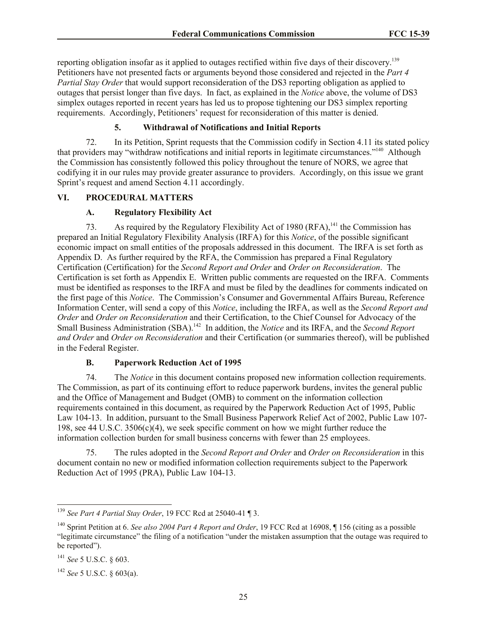reporting obligation insofar as it applied to outages rectified within five days of their discovery.<sup>139</sup> Petitioners have not presented facts or arguments beyond those considered and rejected in the *Part 4 Partial Stay Order* that would support reconsideration of the DS3 reporting obligation as applied to outages that persist longer than five days. In fact, as explained in the *Notice* above, the volume of DS3 simplex outages reported in recent years has led us to propose tightening our DS3 simplex reporting requirements. Accordingly, Petitioners' request for reconsideration of this matter is denied.

# **5. Withdrawal of Notifications and Initial Reports**

72. In its Petition, Sprint requests that the Commission codify in Section 4.11 its stated policy that providers may "withdraw notifications and initial reports in legitimate circumstances."<sup>140</sup> Although the Commission has consistently followed this policy throughout the tenure of NORS, we agree that codifying it in our rules may provide greater assurance to providers. Accordingly, on this issue we grant Sprint's request and amend Section 4.11 accordingly.

## **VI. PROCEDURAL MATTERS**

## **A. Regulatory Flexibility Act**

73. As required by the Regulatory Flexibility Act of 1980 (RFA), <sup>141</sup> the Commission has prepared an Initial Regulatory Flexibility Analysis (IRFA) for this *Notice*, of the possible significant economic impact on small entities of the proposals addressed in this document. The IRFA is set forth as Appendix D. As further required by the RFA, the Commission has prepared a Final Regulatory Certification (Certification) for the *Second Report and Order* and *Order on Reconsideration*. The Certification is set forth as Appendix E. Written public comments are requested on the IRFA. Comments must be identified as responses to the IRFA and must be filed by the deadlines for comments indicated on the first page of this *Notice*. The Commission's Consumer and Governmental Affairs Bureau, Reference Information Center, will send a copy of this *Notice*, including the IRFA, as well as the *Second Report and Order* and *Order on Reconsideration* and their Certification, to the Chief Counsel for Advocacy of the Small Business Administration (SBA).<sup>142</sup> In addition, the *Notice* and its IRFA, and the *Second Report and Order* and *Order on Reconsideration* and their Certification (or summaries thereof), will be published in the Federal Register.

## **B. Paperwork Reduction Act of 1995**

74. The *Notice* in this document contains proposed new information collection requirements. The Commission, as part of its continuing effort to reduce paperwork burdens, invites the general public and the Office of Management and Budget (OMB) to comment on the information collection requirements contained in this document, as required by the Paperwork Reduction Act of 1995, Public Law 104-13. In addition, pursuant to the Small Business Paperwork Relief Act of 2002, Public Law 107- 198, see 44 U.S.C. 3506(c)(4), we seek specific comment on how we might further reduce the information collection burden for small business concerns with fewer than 25 employees.

75. The rules adopted in the *Second Report and Order* and *Order on Reconsideration* in this document contain no new or modified information collection requirements subject to the Paperwork Reduction Act of 1995 (PRA), Public Law 104-13.

 $\overline{a}$ 

<sup>139</sup> *See Part 4 Partial Stay Order*, 19 FCC Rcd at 25040-41 ¶ 3.

<sup>140</sup> Sprint Petition at 6. *See also 2004 Part 4 Report and Order*, 19 FCC Rcd at 16908, ¶ 156 (citing as a possible "legitimate circumstance" the filing of a notification "under the mistaken assumption that the outage was required to be reported").

<sup>141</sup> *See* 5 U.S.C. § 603.

<sup>142</sup> *See* 5 U.S.C. § 603(a).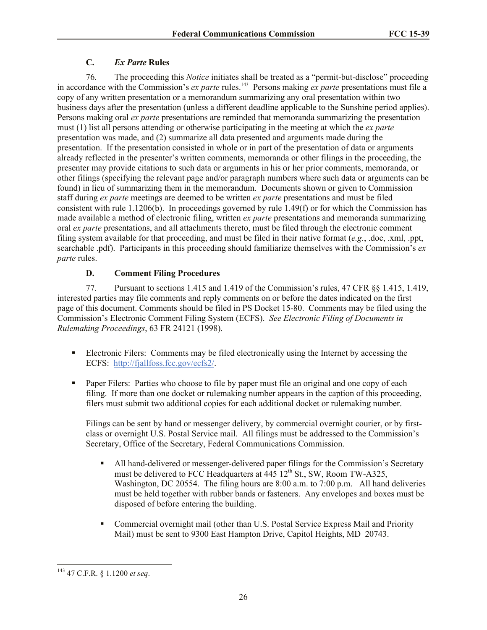# **C.** *Ex Parte* **Rules**

76. The proceeding this *Notice* initiates shall be treated as a "permit-but-disclose" proceeding in accordance with the Commission's *ex parte* rules.<sup>143</sup> Persons making *ex parte* presentations must file a copy of any written presentation or a memorandum summarizing any oral presentation within two business days after the presentation (unless a different deadline applicable to the Sunshine period applies). Persons making oral *ex parte* presentations are reminded that memoranda summarizing the presentation must (1) list all persons attending or otherwise participating in the meeting at which the *ex parte*  presentation was made, and (2) summarize all data presented and arguments made during the presentation. If the presentation consisted in whole or in part of the presentation of data or arguments already reflected in the presenter's written comments, memoranda or other filings in the proceeding, the presenter may provide citations to such data or arguments in his or her prior comments, memoranda, or other filings (specifying the relevant page and/or paragraph numbers where such data or arguments can be found) in lieu of summarizing them in the memorandum. Documents shown or given to Commission staff during *ex parte* meetings are deemed to be written *ex parte* presentations and must be filed consistent with rule 1.1206(b). In proceedings governed by rule 1.49(f) or for which the Commission has made available a method of electronic filing, written *ex parte* presentations and memoranda summarizing oral *ex parte* presentations, and all attachments thereto, must be filed through the electronic comment filing system available for that proceeding, and must be filed in their native format (*e.g.*, .doc, .xml, .ppt, searchable .pdf). Participants in this proceeding should familiarize themselves with the Commission's *ex parte* rules.

# **D. Comment Filing Procedures**

77. Pursuant to sections 1.415 and 1.419 of the Commission's rules, 47 CFR §§ 1.415, 1.419, interested parties may file comments and reply comments on or before the dates indicated on the first page of this document. Comments should be filed in PS Docket 15-80. Comments may be filed using the Commission's Electronic Comment Filing System (ECFS). *See Electronic Filing of Documents in Rulemaking Proceedings*, 63 FR 24121 (1998).

- Electronic Filers: Comments may be filed electronically using the Internet by accessing the ECFS: http://fjallfoss.fcc.gov/ecfs2/.
- Paper Filers: Parties who choose to file by paper must file an original and one copy of each filing. If more than one docket or rulemaking number appears in the caption of this proceeding, filers must submit two additional copies for each additional docket or rulemaking number.

Filings can be sent by hand or messenger delivery, by commercial overnight courier, or by firstclass or overnight U.S. Postal Service mail. All filings must be addressed to the Commission's Secretary, Office of the Secretary, Federal Communications Commission.

- All hand-delivered or messenger-delivered paper filings for the Commission's Secretary must be delivered to FCC Headquarters at  $\overline{445}$  12<sup>th</sup> St., SW, Room TW-A325, Washington, DC 20554. The filing hours are 8:00 a.m. to 7:00 p.m. All hand deliveries must be held together with rubber bands or fasteners. Any envelopes and boxes must be disposed of before entering the building.
- Commercial overnight mail (other than U.S. Postal Service Express Mail and Priority Mail) must be sent to 9300 East Hampton Drive, Capitol Heights, MD 20743.

 $\overline{\phantom{a}}$ <sup>143</sup> 47 C.F.R. § 1.1200 *et seq*.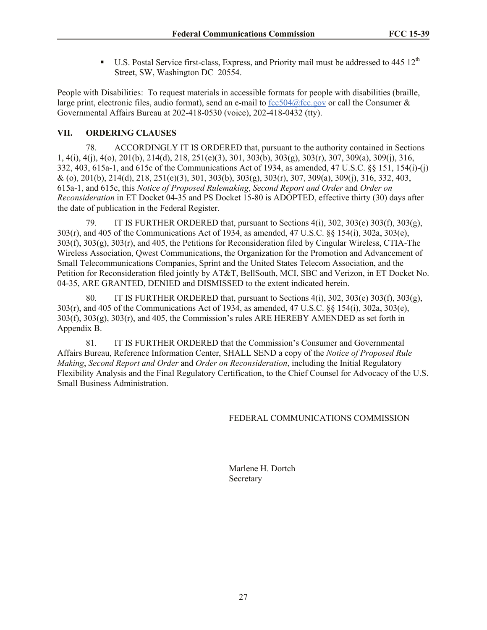U.S. Postal Service first-class, Express, and Priority mail must be addressed to  $445 \times 12^{th}$ Street, SW, Washington DC 20554.

People with Disabilities: To request materials in accessible formats for people with disabilities (braille, large print, electronic files, audio format), send an e-mail to  $fcc504@$  fcc.gov or call the Consumer & Governmental Affairs Bureau at 202-418-0530 (voice), 202-418-0432 (tty).

# **VII. ORDERING CLAUSES**

78. ACCORDINGLY IT IS ORDERED that, pursuant to the authority contained in Sections 1, 4(i), 4(j), 4(o), 201(b), 214(d), 218, 251(e)(3), 301, 303(b), 303(g), 303(r), 307, 309(a), 309(j), 316, 332, 403, 615a-1, and 615c of the Communications Act of 1934, as amended, 47 U.S.C. §§ 151, 154(i)-(j) & (o), 201(b), 214(d), 218, 251(e)(3), 301, 303(b), 303(g), 303(r), 307, 309(a), 309(j), 316, 332, 403, 615a-1, and 615c, this *Notice of Proposed Rulemaking*, *Second Report and Order* and *Order on Reconsideration* in ET Docket 04-35 and PS Docket 15-80 is ADOPTED, effective thirty (30) days after the date of publication in the Federal Register.

79. IT IS FURTHER ORDERED that, pursuant to Sections 4(i), 302, 303(e) 303(f), 303(g), 303(r), and 405 of the Communications Act of 1934, as amended, 47 U.S.C. §§ 154(i), 302a, 303(e), 303(f), 303(g), 303(r), and 405, the Petitions for Reconsideration filed by Cingular Wireless, CTIA-The Wireless Association, Qwest Communications, the Organization for the Promotion and Advancement of Small Telecommunications Companies, Sprint and the United States Telecom Association, and the Petition for Reconsideration filed jointly by AT&T, BellSouth, MCI, SBC and Verizon, in ET Docket No. 04-35, ARE GRANTED, DENIED and DISMISSED to the extent indicated herein.

80. IT IS FURTHER ORDERED that, pursuant to Sections  $4(i)$ ,  $302$ ,  $303(e)$ ,  $303(f)$ ,  $303(g)$ , 303(r), and 405 of the Communications Act of 1934, as amended, 47 U.S.C. §§ 154(i), 302a, 303(e),  $303(f)$ ,  $303(g)$ ,  $303(f)$ , and  $405$ , the Commission's rules ARE HEREBY AMENDED as set forth in Appendix B.

81. IT IS FURTHER ORDERED that the Commission's Consumer and Governmental Affairs Bureau, Reference Information Center, SHALL SEND a copy of the *Notice of Proposed Rule Making*, *Second Report and Order* and *Order on Reconsideration*, including the Initial Regulatory Flexibility Analysis and the Final Regulatory Certification, to the Chief Counsel for Advocacy of the U.S. Small Business Administration.

# FEDERAL COMMUNICATIONS COMMISSION

Marlene H. Dortch Secretary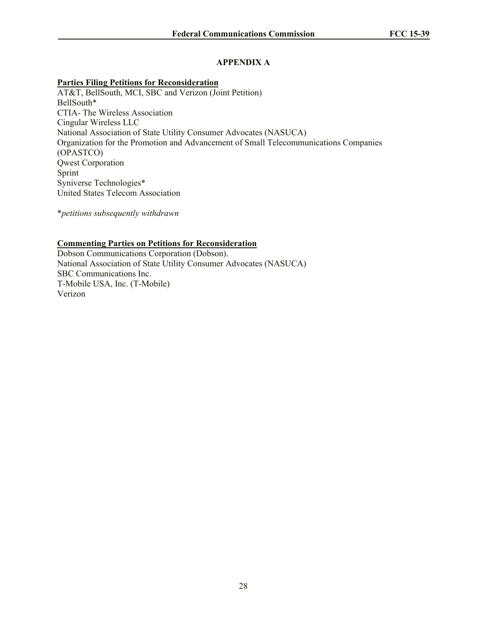# **APPENDIX A**

## **Parties Filing Petitions for Reconsideration**

AT&T, BellSouth, MCI, SBC and Verizon (Joint Petition) BellSouth\* CTIA- The Wireless Association Cingular Wireless LLC National Association of State Utility Consumer Advocates (NASUCA) Organization for the Promotion and Advancement of Small Telecommunications Companies (OPASTCO) Qwest Corporation Sprint Syniverse Technologies\* United States Telecom Association

\**petitions subsequently withdrawn*

# **Commenting Parties on Petitions for Reconsideration**

Dobson Communications Corporation (Dobson). National Association of State Utility Consumer Advocates (NASUCA) SBC Communications Inc. T-Mobile USA, Inc. (T-Mobile) Verizon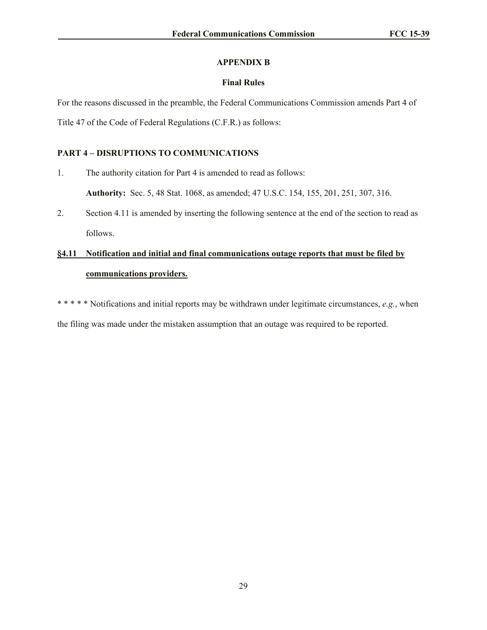# **APPENDIX B**

## **Final Rules**

For the reasons discussed in the preamble, the Federal Communications Commission amends Part 4 of Title 47 of the Code of Federal Regulations (C.F.R.) as follows:

# **PART 4 – DISRUPTIONS TO COMMUNICATIONS**

1. The authority citation for Part 4 is amended to read as follows:

**Authority:** Sec. 5, 48 Stat. 1068, as amended; 47 U.S.C. 154, 155, 201, 251, 307, 316.

2. Section 4.11 is amended by inserting the following sentence at the end of the section to read as follows.

# **§4.11 Notification and initial and final communications outage reports that must be filed by communications providers.**

\* \* \* \* \* Notifications and initial reports may be withdrawn under legitimate circumstances, *e.g.*, when the filing was made under the mistaken assumption that an outage was required to be reported.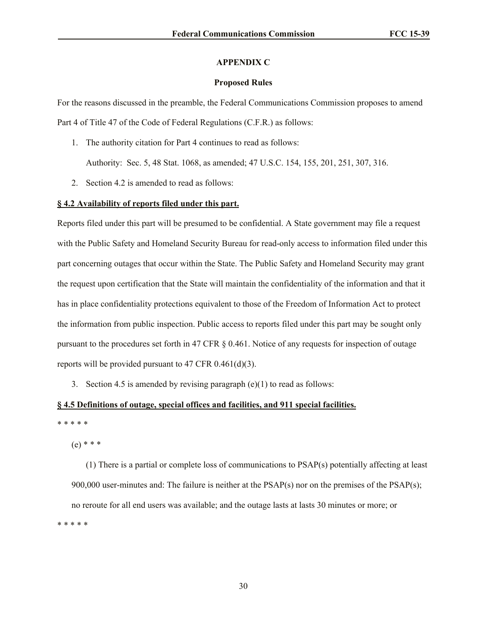#### **APPENDIX C**

### **Proposed Rules**

For the reasons discussed in the preamble, the Federal Communications Commission proposes to amend Part 4 of Title 47 of the Code of Federal Regulations (C.F.R.) as follows:

1. The authority citation for Part 4 continues to read as follows:

Authority: Sec. 5, 48 Stat. 1068, as amended; 47 U.S.C. 154, 155, 201, 251, 307, 316.

2. Section 4.2 is amended to read as follows:

## **§ 4.2 Availability of reports filed under this part.**

Reports filed under this part will be presumed to be confidential. A State government may file a request with the Public Safety and Homeland Security Bureau for read-only access to information filed under this part concerning outages that occur within the State. The Public Safety and Homeland Security may grant the request upon certification that the State will maintain the confidentiality of the information and that it has in place confidentiality protections equivalent to those of the Freedom of Information Act to protect the information from public inspection. Public access to reports filed under this part may be sought only pursuant to the procedures set forth in 47 CFR § 0.461. Notice of any requests for inspection of outage reports will be provided pursuant to 47 CFR 0.461(d)(3).

3. Section 4.5 is amended by revising paragraph  $(e)(1)$  to read as follows:

## **§ 4.5 Definitions of outage, special offices and facilities, and 911 special facilities.**

\* \* \* \* \*

(e) \* \* \*

(1) There is a partial or complete loss of communications to PSAP(s) potentially affecting at least 900,000 user-minutes and: The failure is neither at the PSAP(s) nor on the premises of the PSAP(s); no reroute for all end users was available; and the outage lasts at lasts 30 minutes or more; or \* \* \* \* \*

30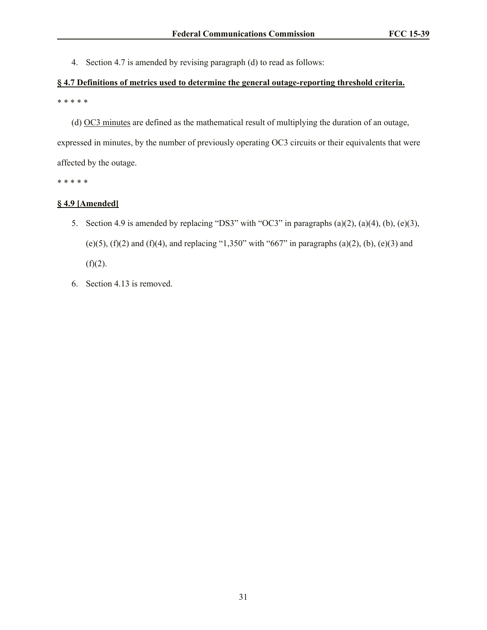4. Section 4.7 is amended by revising paragraph (d) to read as follows:

# **§ 4.7 Definitions of metrics used to determine the general outage-reporting threshold criteria.** \* \* \* \* \*

(d) OC3 minutes are defined as the mathematical result of multiplying the duration of an outage,

expressed in minutes, by the number of previously operating OC3 circuits or their equivalents that were affected by the outage.

\* \* \* \* \*

## **§ 4.9 [Amended]**

- 5. Section 4.9 is amended by replacing "DS3" with "OC3" in paragraphs (a)(2), (a)(4), (b), (e)(3), (e)(5), (f)(2) and (f)(4), and replacing "1,350" with "667" in paragraphs (a)(2), (b), (e)(3) and  $(f)(2)$ .
- 6. Section 4.13 is removed.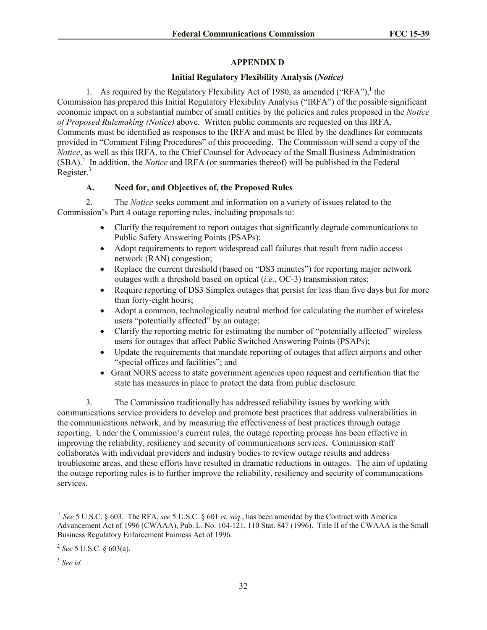# **APPENDIX D**

# **Initial Regulatory Flexibility Analysis (***Notice)*

1. As required by the Regulatory Flexibility Act of 1980, as amended ("RFA"),<sup>1</sup> the Commission has prepared this Initial Regulatory Flexibility Analysis ("IRFA") of the possible significant economic impact on a substantial number of small entities by the policies and rules proposed in the *Notice of Proposed Rulemaking (Notice)* above. Written public comments are requested on this IRFA. Comments must be identified as responses to the IRFA and must be filed by the deadlines for comments provided in "Comment Filing Procedures" of this proceeding. The Commission will send a copy of the *Notice*, as well as this IRFA, to the Chief Counsel for Advocacy of the Small Business Administration (SBA).<sup>2</sup> In addition, the *Notice* and IRFA (or summaries thereof) will be published in the Federal Register.<sup>3</sup>

# **A. Need for, and Objectives of, the Proposed Rules**

2. The *Notice* seeks comment and information on a variety of issues related to the Commission's Part 4 outage reporting rules, including proposals to:

- Clarify the requirement to report outages that significantly degrade communications to Public Safety Answering Points (PSAPs);
- Adopt requirements to report widespread call failures that result from radio access network (RAN) congestion;
- Replace the current threshold (based on "DS3 minutes") for reporting major network outages with a threshold based on optical (*i.e.*, OC-3) transmission rates;
- Require reporting of DS3 Simplex outages that persist for less than five days but for more than forty-eight hours;
- Adopt a common, technologically neutral method for calculating the number of wireless users "potentially affected" by an outage;
- Clarify the reporting metric for estimating the number of "potentially affected" wireless users for outages that affect Public Switched Answering Points (PSAPs);
- Update the requirements that mandate reporting of outages that affect airports and other "special offices and facilities"; and
- Grant NORS access to state government agencies upon request and certification that the state has measures in place to protect the data from public disclosure.

3. The Commission traditionally has addressed reliability issues by working with communications service providers to develop and promote best practices that address vulnerabilities in the communications network, and by measuring the effectiveness of best practices through outage reporting. Under the Commission's current rules, the outage reporting process has been effective in improving the reliability, resiliency and security of communications services. Commission staff collaborates with individual providers and industry bodies to review outage results and address troublesome areas, and these efforts have resulted in dramatic reductions in outages. The aim of updating the outage reporting rules is to further improve the reliability, resiliency and security of communications services.

 $\overline{\phantom{a}}$ 

<sup>1</sup> *See* 5 U.S.C. § 603. The RFA, *see* 5 U.S.C. § 601 *et. seq.*, has been amended by the Contract with America Advancement Act of 1996 (CWAAA), Pub. L. No. 104-121, 110 Stat. 847 (1996). Title II of the CWAAA is the Small Business Regulatory Enforcement Fairness Act of 1996.

<sup>2</sup> *See* 5 U.S.C. § 603(a).

<sup>3</sup> *See id.*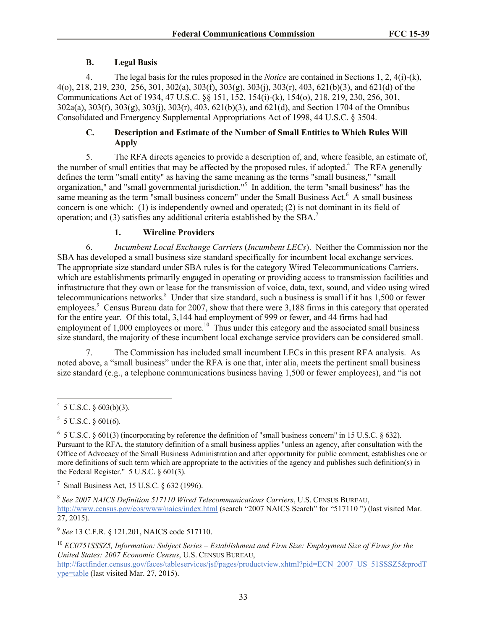## **B. Legal Basis**

4. The legal basis for the rules proposed in the *Notice* are contained in Sections 1, 2, 4(i)-(k), 4(o), 218, 219, 230, 256, 301, 302(a), 303(f), 303(g), 303(j), 303(r), 403, 621(b)(3), and 621(d) of the Communications Act of 1934, 47 U.S.C. §§ 151, 152, 154(i)-(k), 154(o), 218, 219, 230, 256, 301, 302a(a), 303(f), 303(g), 303(j), 303(r), 403, 621(b)(3), and 621(d), and Section 1704 of the Omnibus Consolidated and Emergency Supplemental Appropriations Act of 1998, 44 U.S.C. § 3504.

# **C. Description and Estimate of the Number of Small Entities to Which Rules Will Apply**

5. The RFA directs agencies to provide a description of, and, where feasible, an estimate of, the number of small entities that may be affected by the proposed rules, if adopted.<sup>4</sup> The RFA generally defines the term "small entity" as having the same meaning as the terms "small business," "small organization," and "small governmental jurisdiction."<sup>5</sup> In addition, the term "small business" has the same meaning as the term "small business concern" under the Small Business Act.<sup>6</sup> A small business concern is one which: (1) is independently owned and operated; (2) is not dominant in its field of operation; and (3) satisfies any additional criteria established by the  $SBA$ <sup>7</sup>

# **1. Wireline Providers**

6. *Incumbent Local Exchange Carriers* (*Incumbent LECs*). Neither the Commission nor the SBA has developed a small business size standard specifically for incumbent local exchange services. The appropriate size standard under SBA rules is for the category Wired Telecommunications Carriers, which are establishments primarily engaged in operating or providing access to transmission facilities and infrastructure that they own or lease for the transmission of voice, data, text, sound, and video using wired telecommunications networks. 8 Under that size standard, such a business is small if it has 1,500 or fewer employees.<sup>9</sup> Census Bureau data for 2007, show that there were 3,188 firms in this category that operated for the entire year. Of this total, 3,144 had employment of 999 or fewer, and 44 firms had had employment of  $1,000$  employees or more.<sup>10</sup> Thus under this category and the associated small business size standard, the majority of these incumbent local exchange service providers can be considered small.

7. The Commission has included small incumbent LECs in this present RFA analysis. As noted above, a "small business" under the RFA is one that, inter alia, meets the pertinent small business size standard (e.g., a telephone communications business having 1,500 or fewer employees), and "is not

<sup>7</sup> Small Business Act, 15 U.S.C.  $\S$  632 (1996).

9 *See* 13 C.F.R. § 121.201, NAICS code 517110.

 $4\overline{5 \text{ U.S.C. } }603(b)(3).$ 

 $5 \text{ U.S.C. } \S 601(6).$ 

 $6$  5 U.S.C. § 601(3) (incorporating by reference the definition of "small business concern" in 15 U.S.C. § 632). Pursuant to the RFA, the statutory definition of a small business applies "unless an agency, after consultation with the Office of Advocacy of the Small Business Administration and after opportunity for public comment, establishes one or more definitions of such term which are appropriate to the activities of the agency and publishes such definition(s) in the Federal Register." 5 U.S.C. § 601(3).

<sup>8</sup> *See 2007 NAICS Definition 517110 Wired Telecommunications Carriers*, U.S. CENSUS BUREAU, http://www.census.gov/eos/www/naics/index.html (search "2007 NAICS Search" for "517110") (last visited Mar. 27, 2015).

<sup>10</sup> *EC0751SSSZ5, Information: Subject Series – Establishment and Firm Size: Employment Size of Firms for the United States: 2007 Economic Census*, U.S. CENSUS BUREAU,

http://factfinder.census.gov/faces/tableservices/jsf/pages/productview.xhtml?pid=ECN\_2007\_US\_51SSSZ5&prodT ype=table (last visited Mar. 27, 2015).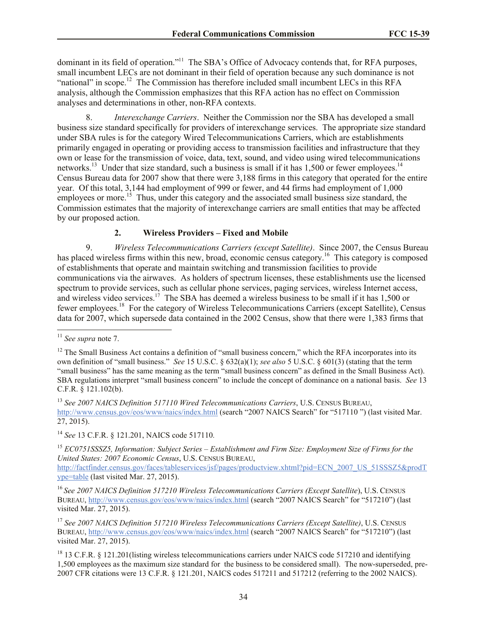dominant in its field of operation."<sup>11</sup> The SBA's Office of Advocacy contends that, for RFA purposes, small incumbent LECs are not dominant in their field of operation because any such dominance is not "national" in scope.<sup>12</sup> The Commission has therefore included small incumbent LECs in this RFA analysis, although the Commission emphasizes that this RFA action has no effect on Commission analyses and determinations in other, non-RFA contexts.

8. *Interexchange Carriers*. Neither the Commission nor the SBA has developed a small business size standard specifically for providers of interexchange services. The appropriate size standard under SBA rules is for the category Wired Telecommunications Carriers, which are establishments primarily engaged in operating or providing access to transmission facilities and infrastructure that they own or lease for the transmission of voice, data, text, sound, and video using wired telecommunications networks.<sup>13</sup> Under that size standard, such a business is small if it has  $1,500$  or fewer employees.<sup>14</sup> Census Bureau data for 2007 show that there were 3,188 firms in this category that operated for the entire year. Of this total, 3,144 had employment of 999 or fewer, and 44 firms had employment of 1,000 employees or more.<sup>15</sup> Thus, under this category and the associated small business size standard, the Commission estimates that the majority of interexchange carriers are small entities that may be affected by our proposed action.

# **2. Wireless Providers – Fixed and Mobile**

9. *Wireless Telecommunications Carriers (except Satellite)*. Since 2007, the Census Bureau has placed wireless firms within this new, broad, economic census category.<sup>16</sup> This category is composed of establishments that operate and maintain switching and transmission facilities to provide communications via the airwaves. As holders of spectrum licenses, these establishments use the licensed spectrum to provide services, such as cellular phone services, paging services, wireless Internet access, and wireless video services.<sup>17</sup> The SBA has deemed a wireless business to be small if it has 1,500 or fewer employees.<sup>18</sup> For the category of Wireless Telecommunications Carriers (except Satellite), Census data for 2007, which supersede data contained in the 2002 Census, show that there were 1,383 firms that

 $\overline{a}$ 

<sup>15</sup> *EC0751SSSZ5, Information: Subject Series – Establishment and Firm Size: Employment Size of Firms for the United States: 2007 Economic Census*, U.S. CENSUS BUREAU, http://factfinder.census.gov/faces/tableservices/jsf/pages/productview.xhtml?pid=ECN\_2007\_US\_51SSSZ5&prodT

ype=table (last visited Mar. 27, 2015). <sup>16</sup> *See 2007 NAICS Definition 517210 Wireless Telecommunications Carriers (Except Satellite*), U.S. CENSUS

BUREAU, http://www.census.gov/eos/www/naics/index.html (search "2007 NAICS Search" for "517210") (last visited Mar. 27, 2015).

<sup>17</sup> *See 2007 NAICS Definition 517210 Wireless Telecommunications Carriers (Except Satellite)*, U.S. CENSUS BUREAU, http://www.census.gov/eos/www/naics/index.html (search "2007 NAICS Search" for "517210") (last visited Mar. 27, 2015).

<sup>18</sup> 13 C.F.R. § 121.201(listing wireless telecommunications carriers under NAICS code 517210 and identifying 1,500 employees as the maximum size standard for the business to be considered small). The now-superseded, pre-2007 CFR citations were 13 C.F.R. § 121.201, NAICS codes 517211 and 517212 (referring to the 2002 NAICS).

<sup>11</sup> *See supra* note 7.

<sup>&</sup>lt;sup>12</sup> The Small Business Act contains a definition of "small business concern," which the RFA incorporates into its own definition of "small business." *See* 15 U.S.C. § 632(a)(1); *see also* 5 U.S.C. § 601(3) (stating that the term "small business" has the same meaning as the term "small business concern" as defined in the Small Business Act). SBA regulations interpret "small business concern" to include the concept of dominance on a national basis. *See* 13 C.F.R. § 121.102(b).

<sup>13</sup> *See 2007 NAICS Definition 517110 Wired Telecommunications Carriers*, U.S. CENSUS BUREAU, http://www.census.gov/eos/www/naics/index.html (search "2007 NAICS Search" for "517110 ") (last visited Mar. 27, 2015).

<sup>14</sup> *See* 13 C.F.R. § 121.201, NAICS code 517110*.*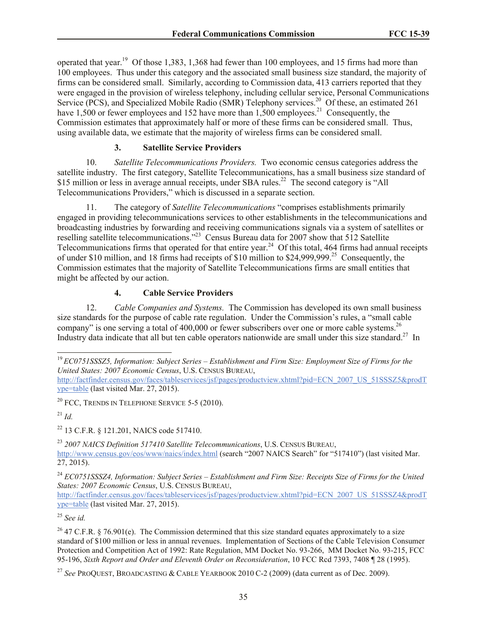operated that year.<sup>19</sup> Of those 1,383, 1,368 had fewer than 100 employees, and 15 firms had more than 100 employees. Thus under this category and the associated small business size standard, the majority of firms can be considered small. Similarly, according to Commission data, 413 carriers reported that they were engaged in the provision of wireless telephony, including cellular service, Personal Communications Service (PCS), and Specialized Mobile Radio (SMR) Telephony services.<sup>20</sup> Of these, an estimated 261 have  $1,500$  or fewer employees and 152 have more than  $1,500$  employees.<sup>21</sup> Consequently, the Commission estimates that approximately half or more of these firms can be considered small. Thus, using available data, we estimate that the majority of wireless firms can be considered small.

# **3. Satellite Service Providers**

10. *Satellite Telecommunications Providers.* Two economic census categories address the satellite industry. The first category, Satellite Telecommunications, has a small business size standard of \$15 million or less in average annual receipts, under SBA rules.<sup>22</sup> The second category is "All Telecommunications Providers," which is discussed in a separate section.

11. The category of *Satellite Telecommunications* "comprises establishments primarily engaged in providing telecommunications services to other establishments in the telecommunications and broadcasting industries by forwarding and receiving communications signals via a system of satellites or reselling satellite telecommunications."<sup>23</sup> Census Bureau data for 2007 show that 512 Satellite Telecommunications firms that operated for that entire year.<sup>24</sup> Of this total, 464 firms had annual receipts of under \$10 million, and 18 firms had receipts of \$10 million to \$24,999,999.<sup>25</sup> Consequently, the Commission estimates that the majority of Satellite Telecommunications firms are small entities that might be affected by our action.

# **4. Cable Service Providers**

12. *Cable Companies and Systems.* The Commission has developed its own small business size standards for the purpose of cable rate regulation. Under the Commission's rules, a "small cable company" is one serving a total of 400,000 or fewer subscribers over one or more cable systems.<sup>26</sup> Industry data indicate that all but ten cable operators nationwide are small under this size standard.<sup>27</sup> In

 $^{21}$  *Id.* 

 $\overline{a}$ 

<sup>22</sup> 13 C.F.R. § 121.201, NAICS code 517410.

<sup>23</sup> *2007 NAICS Definition 517410 Satellite Telecommunications*, U.S. CENSUS BUREAU, http://www.census.gov/eos/www/naics/index.html (search "2007 NAICS Search" for "517410") (last visited Mar. 27, 2015).

<sup>24</sup> *EC0751SSSZ4, Information: Subject Series – Establishment and Firm Size: Receipts Size of Firms for the United States: 2007 Economic Census*, U.S. CENSUS BUREAU,

http://factfinder.census.gov/faces/tableservices/jsf/pages/productview.xhtml?pid=ECN\_2007\_US\_51SSSZ4&prodT ype=table (last visited Mar. 27, 2015).

<sup>25</sup> *See id.*

<sup>19</sup> *EC0751SSSZ5, Information: Subject Series – Establishment and Firm Size: Employment Size of Firms for the United States: 2007 Economic Census*, U.S. CENSUS BUREAU,

http://factfinder.census.gov/faces/tableservices/jsf/pages/productview.xhtml?pid=ECN\_2007\_US\_51SSSZ5&prodT ype=table (last visited Mar. 27, 2015).

 $20$  FCC, TRENDS IN TELEPHONE SERVICE 5-5 (2010).

<sup>&</sup>lt;sup>26</sup> 47 C.F.R. § 76.901(e). The Commission determined that this size standard equates approximately to a size standard of \$100 million or less in annual revenues. Implementation of Sections of the Cable Television Consumer Protection and Competition Act of 1992: Rate Regulation, MM Docket No. 93-266, MM Docket No. 93-215, FCC 95-196, *Sixth Report and Order and Eleventh Order on Reconsideration*, 10 FCC Rcd 7393, 7408 ¶ 28 (1995).

<sup>27</sup> *See* PROQUEST, BROADCASTING & CABLE YEARBOOK 2010 C-2 (2009) (data current as of Dec. 2009).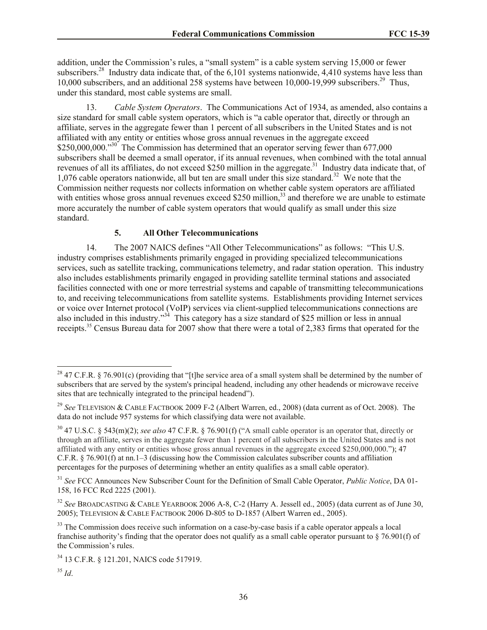addition, under the Commission's rules, a "small system" is a cable system serving 15,000 or fewer subscribers.<sup>28</sup> Industry data indicate that, of the 6,101 systems nationwide, 4,410 systems have less than 10,000 subscribers, and an additional 258 systems have between 10,000-19,999 subscribers.<sup>29</sup> Thus, under this standard, most cable systems are small.

13. *Cable System Operators*. The Communications Act of 1934, as amended, also contains a size standard for small cable system operators, which is "a cable operator that, directly or through an affiliate, serves in the aggregate fewer than 1 percent of all subscribers in the United States and is not affiliated with any entity or entities whose gross annual revenues in the aggregate exceed \$250,000,000."<sup>30</sup> The Commission has determined that an operator serving fewer than 677,000 subscribers shall be deemed a small operator, if its annual revenues, when combined with the total annual revenues of all its affiliates, do not exceed \$250 million in the aggregate.<sup>31</sup> Industry data indicate that, of 1,076 cable operators nationwide, all but ten are small under this size standard.<sup>32</sup> We note that the Commission neither requests nor collects information on whether cable system operators are affiliated with entities whose gross annual revenues exceed \$250 million,  $33$  and therefore we are unable to estimate more accurately the number of cable system operators that would qualify as small under this size standard.

## **5. All Other Telecommunications**

14. The 2007 NAICS defines "All Other Telecommunications" as follows: "This U.S. industry comprises establishments primarily engaged in providing specialized telecommunications services, such as satellite tracking, communications telemetry, and radar station operation. This industry also includes establishments primarily engaged in providing satellite terminal stations and associated facilities connected with one or more terrestrial systems and capable of transmitting telecommunications to, and receiving telecommunications from satellite systems. Establishments providing Internet services or voice over Internet protocol (VoIP) services via client-supplied telecommunications connections are also included in this industry."<sup>34</sup> This category has a size standard of \$25 million or less in annual receipts.<sup>35</sup> Census Bureau data for 2007 show that there were a total of 2,383 firms that operated for the

 $\overline{\phantom{a}}$ 

<sup>&</sup>lt;sup>28</sup> 47 C.F.R. § 76.901(c) (providing that "[t]he service area of a small system shall be determined by the number of subscribers that are served by the system's principal headend, including any other headends or microwave receive sites that are technically integrated to the principal headend").

<sup>29</sup> *See* TELEVISION & CABLE FACTBOOK 2009 F-2 (Albert Warren, ed., 2008) (data current as of Oct. 2008). The data do not include 957 systems for which classifying data were not available.

<sup>30</sup> 47 U.S.C. § 543(m)(2); *see also* 47 C.F.R. § 76.901(f) ("A small cable operator is an operator that, directly or through an affiliate, serves in the aggregate fewer than 1 percent of all subscribers in the United States and is not affiliated with any entity or entities whose gross annual revenues in the aggregate exceed \$250,000,000."); 47 C.F.R.  $\S$  76.901(f) at nn.1–3 (discussing how the Commission calculates subscriber counts and affiliation percentages for the purposes of determining whether an entity qualifies as a small cable operator).

<sup>31</sup> *See* FCC Announces New Subscriber Count for the Definition of Small Cable Operator, *Public Notice*, DA 01- 158, 16 FCC Rcd 2225 (2001).

<sup>32</sup> *See* BROADCASTING & CABLE YEARBOOK 2006 A-8, C-2 (Harry A. Jessell ed., 2005) (data current as of June 30, 2005); TELEVISION & CABLE FACTBOOK 2006 D-805 to D-1857 (Albert Warren ed., 2005).

<sup>&</sup>lt;sup>33</sup> The Commission does receive such information on a case-by-case basis if a cable operator appeals a local franchise authority's finding that the operator does not qualify as a small cable operator pursuant to  $\S$  76.901(f) of the Commission's rules.

<sup>34</sup> 13 C.F.R. § 121.201, NAICS code 517919.

<sup>35</sup> *Id*.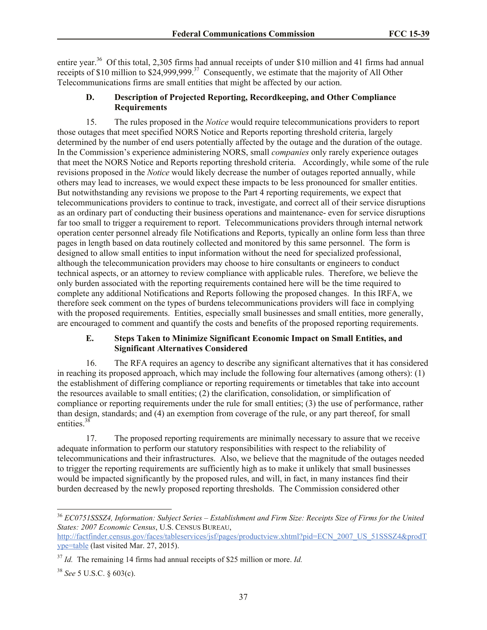entire year.<sup>36</sup> Of this total, 2,305 firms had annual receipts of under \$10 million and 41 firms had annual receipts of \$10 million to  $$24,999,999$ <sup>37</sup> Consequently, we estimate that the majority of All Other Telecommunications firms are small entities that might be affected by our action.

## **D. Description of Projected Reporting, Recordkeeping, and Other Compliance Requirements**

15. The rules proposed in the *Notice* would require telecommunications providers to report those outages that meet specified NORS Notice and Reports reporting threshold criteria, largely determined by the number of end users potentially affected by the outage and the duration of the outage. In the Commission's experience administering NORS, small *companies* only rarely experience outages that meet the NORS Notice and Reports reporting threshold criteria. Accordingly, while some of the rule revisions proposed in the *Notice* would likely decrease the number of outages reported annually, while others may lead to increases, we would expect these impacts to be less pronounced for smaller entities. But notwithstanding any revisions we propose to the Part 4 reporting requirements, we expect that telecommunications providers to continue to track, investigate, and correct all of their service disruptions as an ordinary part of conducting their business operations and maintenance- even for service disruptions far too small to trigger a requirement to report. Telecommunications providers through internal network operation center personnel already file Notifications and Reports, typically an online form less than three pages in length based on data routinely collected and monitored by this same personnel. The form is designed to allow small entities to input information without the need for specialized professional, although the telecommunication providers may choose to hire consultants or engineers to conduct technical aspects, or an attorney to review compliance with applicable rules. Therefore, we believe the only burden associated with the reporting requirements contained here will be the time required to complete any additional Notifications and Reports following the proposed changes. In this IRFA, we therefore seek comment on the types of burdens telecommunications providers will face in complying with the proposed requirements. Entities, especially small businesses and small entities, more generally, are encouraged to comment and quantify the costs and benefits of the proposed reporting requirements.

## **E. Steps Taken to Minimize Significant Economic Impact on Small Entities, and Significant Alternatives Considered**

16. The RFA requires an agency to describe any significant alternatives that it has considered in reaching its proposed approach, which may include the following four alternatives (among others): (1) the establishment of differing compliance or reporting requirements or timetables that take into account the resources available to small entities; (2) the clarification, consolidation, or simplification of compliance or reporting requirements under the rule for small entities; (3) the use of performance, rather than design, standards; and (4) an exemption from coverage of the rule, or any part thereof, for small entities.<sup>38</sup>

17. The proposed reporting requirements are minimally necessary to assure that we receive adequate information to perform our statutory responsibilities with respect to the reliability of telecommunications and their infrastructures. Also, we believe that the magnitude of the outages needed to trigger the reporting requirements are sufficiently high as to make it unlikely that small businesses would be impacted significantly by the proposed rules, and will, in fact, in many instances find their burden decreased by the newly proposed reporting thresholds. The Commission considered other

 $\overline{a}$ 

<sup>36</sup> *EC0751SSSZ4, Information: Subject Series – Establishment and Firm Size: Receipts Size of Firms for the United States: 2007 Economic Census*, U.S. CENSUS BUREAU,

http://factfinder.census.gov/faces/tableservices/jsf/pages/productview.xhtml?pid=ECN\_2007\_US\_51SSSZ4&prodT ype=table (last visited Mar. 27, 2015).

<sup>37</sup> *Id.* The remaining 14 firms had annual receipts of \$25 million or more. *Id.*

<sup>38</sup> *See* 5 U.S.C. § 603(c).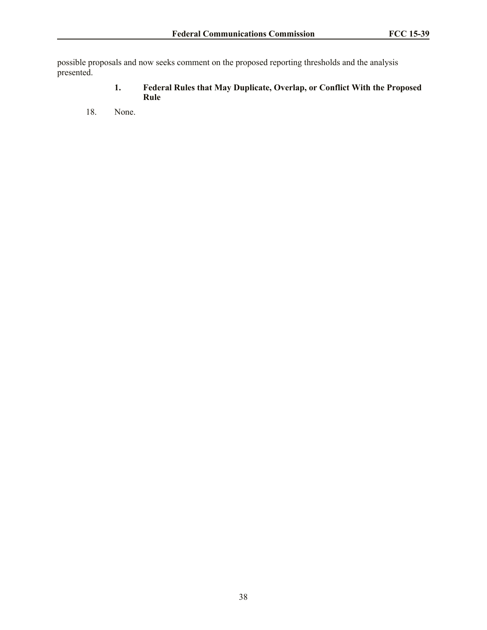possible proposals and now seeks comment on the proposed reporting thresholds and the analysis presented.

- **1. Federal Rules that May Duplicate, Overlap, or Conflict With the Proposed Rule**
- 18. None.